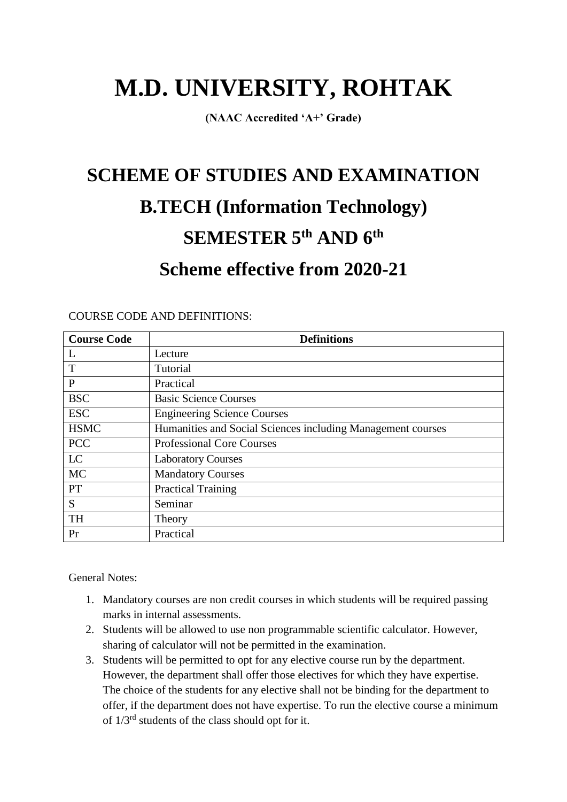# **M.D. UNIVERSITY, ROHTAK**

**(NAAC Accredited 'A+' Grade)**

# **SCHEME OF STUDIES AND EXAMINATION B.TECH (Information Technology) SEMESTER 5th AND 6th Scheme effective from 2020-21**

| <b>Course Code</b> | <b>Definitions</b>                                          |
|--------------------|-------------------------------------------------------------|
| L                  | Lecture                                                     |
| T                  | Tutorial                                                    |
| P                  | Practical                                                   |
| <b>BSC</b>         | <b>Basic Science Courses</b>                                |
| <b>ESC</b>         | <b>Engineering Science Courses</b>                          |
| <b>HSMC</b>        | Humanities and Social Sciences including Management courses |
| <b>PCC</b>         | <b>Professional Core Courses</b>                            |
| LC                 | <b>Laboratory Courses</b>                                   |
| <b>MC</b>          | <b>Mandatory Courses</b>                                    |
| <b>PT</b>          | <b>Practical Training</b>                                   |
| S                  | Seminar                                                     |
| <b>TH</b>          | Theory                                                      |
| Pr                 | Practical                                                   |

COURSE CODE AND DEFINITIONS:

General Notes:

- 1. Mandatory courses are non credit courses in which students will be required passing marks in internal assessments.
- 2. Students will be allowed to use non programmable scientific calculator. However, sharing of calculator will not be permitted in the examination.
- 3. Students will be permitted to opt for any elective course run by the department. However, the department shall offer those electives for which they have expertise. The choice of the students for any elective shall not be binding for the department to offer, if the department does not have expertise. To run the elective course a minimum of  $1/3^{rd}$  students of the class should opt for it.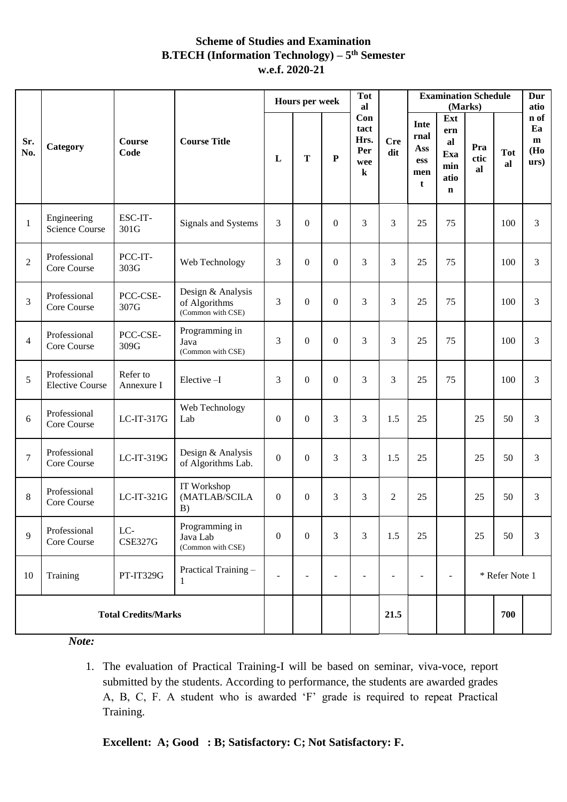# **Scheme of Studies and Examination B.TECH (Information Technology) – 5 th Semester w.e.f. 2020-21**

|                  |                                        |                        |                                                         | <b>Tot</b><br>Hours per week<br>al |                          |                          |                                              |                   | <b>Examination Schedule</b><br>(Marks)                   |                                                       |                   |                  | Dur<br>atio                               |
|------------------|----------------------------------------|------------------------|---------------------------------------------------------|------------------------------------|--------------------------|--------------------------|----------------------------------------------|-------------------|----------------------------------------------------------|-------------------------------------------------------|-------------------|------------------|-------------------------------------------|
| Sr.<br>No.       | Category                               | <b>Course</b><br>Code  | <b>Course Title</b>                                     | L                                  | T                        | $\mathbf P$              | Con<br>tact<br>Hrs.<br>Per<br>wee<br>$\bf k$ | <b>Cre</b><br>dit | Inte<br>rnal<br>Ass<br><b>ess</b><br>men<br>$\mathbf{t}$ | Ext<br>ern<br>al<br>Exa<br>min<br>atio<br>$\mathbf n$ | Pra<br>ctic<br>al | <b>Tot</b><br>al | n of<br>Ea<br>m<br>(Ho<br>$\mathbf{urs})$ |
| $\mathbf{1}$     | Engineering<br><b>Science Course</b>   | ESC-IT-<br>301G        | Signals and Systems                                     | 3                                  | $\boldsymbol{0}$         | $\boldsymbol{0}$         | 3                                            | 3                 | 25                                                       | 75                                                    |                   | 100              | 3                                         |
| $\sqrt{2}$       | Professional<br>Core Course            | PCC-IT-<br>303G        | Web Technology                                          | 3                                  | $\overline{0}$           | $\boldsymbol{0}$         | 3                                            | 3                 | 25                                                       | 75                                                    |                   | 100              | $\overline{3}$                            |
| 3                | Professional<br>Core Course            | PCC-CSE-<br>307G       | Design & Analysis<br>of Algorithms<br>(Common with CSE) |                                    | $\overline{0}$           | $\boldsymbol{0}$         | 3                                            | 3                 | 25                                                       | 75                                                    |                   | 100              | 3                                         |
| $\overline{4}$   | Professional<br>Core Course            | PCC-CSE-<br>309G       | Programming in<br>Java<br>(Common with CSE)             |                                    | $\boldsymbol{0}$         | $\boldsymbol{0}$         | 3                                            | 3                 | 25                                                       | 75                                                    |                   | 100              | 3                                         |
| 5                | Professional<br><b>Elective Course</b> | Refer to<br>Annexure I | Elective-I                                              | 3                                  | $\theta$                 | $\Omega$                 | 3                                            | 3                 | 25                                                       | 75                                                    |                   | 100              | 3                                         |
| $6\,$            | Professional<br>Core Course            | $LC-IT-317G$           | Web Technology<br>Lab                                   | $\overline{0}$                     | $\boldsymbol{0}$         | 3                        | 3                                            | 1.5               | 25                                                       |                                                       | 25                | 50               | 3                                         |
| $\boldsymbol{7}$ | Professional<br>Core Course            | LC-IT-319G             | Design & Analysis<br>of Algorithms Lab.                 | $\boldsymbol{0}$                   | $\overline{0}$           | 3                        | 3                                            | 1.5               | 25                                                       |                                                       | 25                | 50               | 3                                         |
| $\,8\,$          | Professional<br>Core Course            | LC-IT-321G             | IT Workshop<br>(MATLAB/SCILA<br>B)                      | $\mathbf{0}$                       | $\mathbf{0}$             | 3                        | 3                                            | 2                 | 25                                                       |                                                       | 25                | 50               | 3                                         |
| 9                | Professional<br>Core Course            | LC-<br><b>CSE327G</b>  | Programming in<br>Java Lab<br>(Common with CSE)         |                                    | $\overline{0}$           | 3                        | 3                                            | 1.5               | 25                                                       |                                                       | 25                | 50               | 3                                         |
| 10               | Training                               | PT-IT329G              | Practical Training -<br>1                               | $\blacksquare$                     | $\overline{\phantom{a}}$ | $\overline{\phantom{a}}$ | $\overline{\phantom{a}}$                     | $\blacksquare$    | $\blacksquare$                                           | $\blacksquare$                                        | * Refer Note 1    |                  |                                           |
|                  | <b>Total Credits/Marks</b>             |                        |                                                         |                                    |                          |                          |                                              | 21.5              |                                                          |                                                       |                   | 700              |                                           |

*Note:*

1. The evaluation of Practical Training-I will be based on seminar, viva-voce, report submitted by the students. According to performance, the students are awarded grades A, B, C, F. A student who is awarded 'F' grade is required to repeat Practical Training.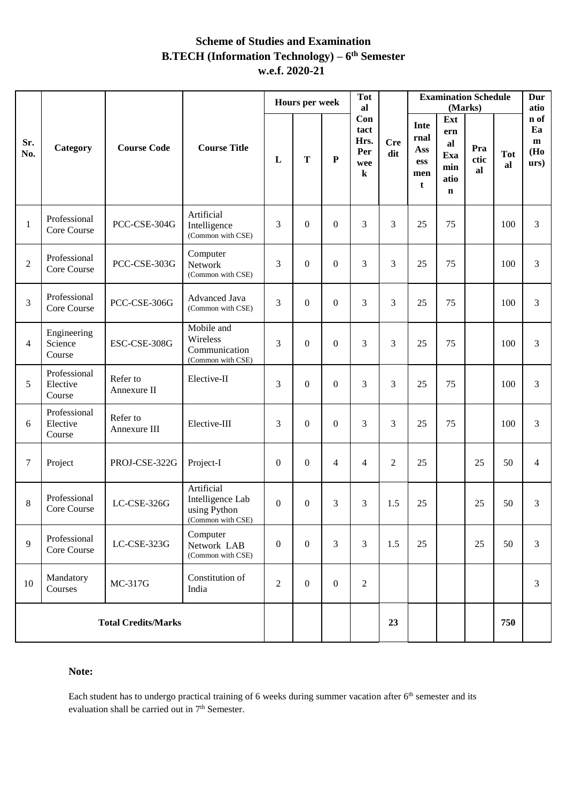# **Scheme of Studies and Examination B.TECH (Information Technology) – 6 th Semester w.e.f. 2020-21**

|                |                                    | <b>Course Code</b>       | <b>Course Title</b>                                                 |                | Hours per week |                | <b>Tot</b><br>al                             |                   | <b>Examination Schedule</b><br>(Marks) |                                                       |                   |                  | Dur<br>atio                    |
|----------------|------------------------------------|--------------------------|---------------------------------------------------------------------|----------------|----------------|----------------|----------------------------------------------|-------------------|----------------------------------------|-------------------------------------------------------|-------------------|------------------|--------------------------------|
| Sr.<br>No.     | Category                           |                          |                                                                     | L              | T              | $\mathbf P$    | Con<br>tact<br>Hrs.<br>Per<br>wee<br>$\bf k$ | <b>Cre</b><br>dit | Inte<br>rnal<br>Ass<br>ess<br>men<br>t | Ext<br>ern<br>al<br>Exa<br>min<br>atio<br>$\mathbf n$ | Pra<br>ctic<br>al | <b>Tot</b><br>al | n of<br>Ea<br>m<br>(Ho<br>urs) |
| $\mathbf{1}$   | Professional<br>Core Course        | PCC-CSE-304G             | Artificial<br>Intelligence<br>(Common with CSE)                     | 3              | $\overline{0}$ | $\overline{0}$ | 3                                            | 3                 | 25                                     | 75                                                    |                   | 100              | 3                              |
| $\overline{2}$ | Professional<br>Core Course        | PCC-CSE-303G             | Computer<br>Network<br>(Common with CSE)                            | $\overline{3}$ | $\overline{0}$ | $\overline{0}$ | 3                                            | 3                 | 25                                     | 75                                                    |                   | 100              | 3                              |
| 3              | Professional<br>Core Course        | PCC-CSE-306G             | Advanced Java<br>(Common with CSE)                                  | 3              | $\overline{0}$ | $\mathbf{0}$   | 3                                            | 3                 | 25                                     | 75                                                    |                   | 100              | 3                              |
| $\overline{4}$ | Engineering<br>Science<br>Course   | ESC-CSE-308G             | Mobile and<br>Wireless<br>Communication<br>(Common with CSE)        | 3              | $\overline{0}$ | $\overline{0}$ | 3                                            | 3                 | 25                                     | 75                                                    |                   | 100              | 3                              |
| 5              | Professional<br>Elective<br>Course | Refer to<br>Annexure II  | Elective-II                                                         | 3              | $\overline{0}$ | $\overline{0}$ | 3                                            | 3                 | 25                                     | 75                                                    |                   | 100              | 3                              |
| 6              | Professional<br>Elective<br>Course | Refer to<br>Annexure III | Elective-III                                                        | 3              | $\overline{0}$ | $\Omega$       | 3                                            | 3                 | 25                                     | 75                                                    |                   | 100              | 3                              |
| $\tau$         | Project                            | PROJ-CSE-322G            | Project-I                                                           | $\mathbf{0}$   | $\overline{0}$ | $\overline{4}$ | $\overline{4}$                               | $\overline{2}$    | 25                                     |                                                       | 25                | 50               | $\overline{4}$                 |
| $8\,$          | Professional<br>Core Course        | LC-CSE-326G              | Artificial<br>Intelligence Lab<br>using Python<br>(Common with CSE) | $\mathbf{0}$   | $\overline{0}$ | 3              | 3                                            | 1.5               | 25                                     |                                                       | 25                | 50               | 3                              |
| 9              | Professional<br>Core Course        | LC-CSE-323G              | Computer<br>Network LAB<br>(Common with CSE)                        | $\overline{0}$ | $\overline{0}$ | 3              | 3                                            | 1.5               | 25                                     |                                                       | 25                | 50               | 3                              |
| 10             | Mandatory<br>Courses               | MC-317G                  | Constitution of<br>India                                            | $\overline{2}$ | $\overline{0}$ | $\overline{0}$ | $\overline{2}$                               |                   |                                        |                                                       |                   |                  | 3                              |
|                | <b>Total Credits/Marks</b>         |                          |                                                                     |                |                |                |                                              | 23                |                                        |                                                       |                   | 750              |                                |

#### **Note:**

Each student has to undergo practical training of 6 weeks during summer vacation after 6<sup>th</sup> semester and its evaluation shall be carried out in 7<sup>th</sup> Semester.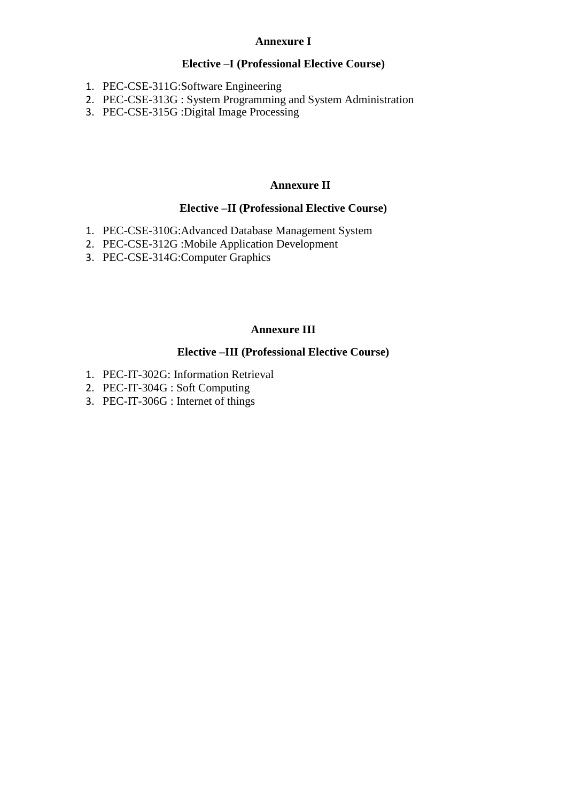#### **Annexure I**

# **Elective –I (Professional Elective Course)**

- 1. PEC-CSE-311G:Software Engineering
- 2. PEC-CSE-313G : System Programming and System Administration
- 3. PEC-CSE-315G :Digital Image Processing

# **Annexure II**

### **Elective –II (Professional Elective Course)**

- 1. PEC-CSE-310G:Advanced Database Management System
- 2. PEC-CSE-312G :Mobile Application Development
- 3. PEC-CSE-314G:Computer Graphics

# **Annexure III**

# **Elective –III (Professional Elective Course)**

- 1. PEC-IT-302G: Information Retrieval
- 2. PEC-IT-304G : Soft Computing
- 3. PEC-IT-306G : Internet of things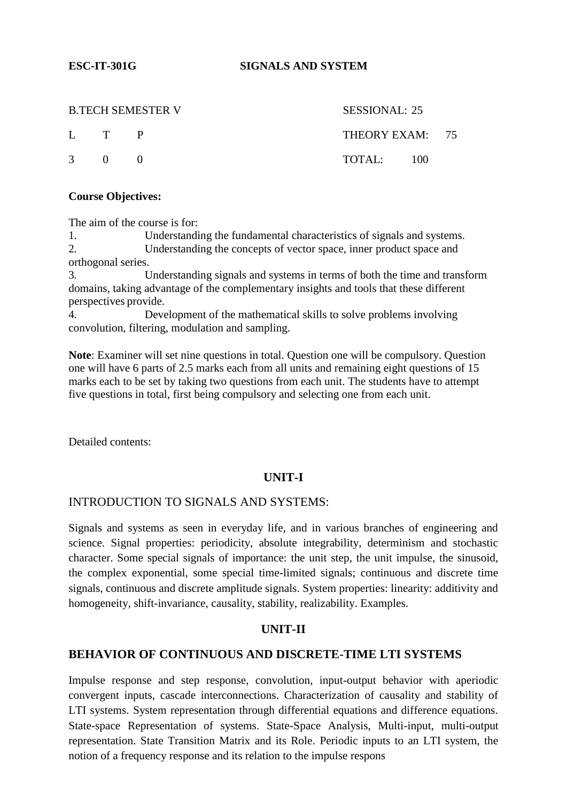**ESC-IT-301G SIGNALS AND SYSTEM**

|              |       | <b>B.TECH SEMESTER V</b> | SESSIONAL: 25              |  |
|--------------|-------|--------------------------|----------------------------|--|
|              | L T P |                          | THEORY EXAM: 75            |  |
| $\ddot{3}$ 0 |       |                          | $\text{TOTAL:} \qquad 100$ |  |

#### **Course Objectives:**

The aim of the course is for:

1. Understanding the fundamental characteristics of signals and systems. 2. Understanding the concepts of vector space, inner product space and orthogonal series.

3. Understanding signals and systems in terms of both the time and transform domains, taking advantage of the complementary insights and tools that these different perspectives provide.

4. Development of the mathematical skills to solve problems involving convolution, filtering, modulation and sampling.

**Note**: Examiner will set nine questions in total. Question one will be compulsory. Question one will have 6 parts of 2.5 marks each from all units and remaining eight questions of 15 marks each to be set by taking two questions from each unit. The students have to attempt five questions in total, first being compulsory and selecting one from each unit.

Detailed contents:

#### **UNIT-I**

#### INTRODUCTION TO SIGNALS AND SYSTEMS:

Signals and systems as seen in everyday life, and in various branches of engineering and science. Signal properties: periodicity, absolute integrability, determinism and stochastic character. Some special signals of importance: the unit step, the unit impulse, the sinusoid, the complex exponential, some special time-limited signals; continuous and discrete time signals, continuous and discrete amplitude signals. System properties: linearity: additivity and homogeneity, shift-invariance, causality, stability, realizability. Examples.

#### **UNIT-II**

#### **BEHAVIOR OF CONTINUOUS AND DISCRETE-TIME LTI SYSTEMS**

Impulse response and step response, convolution, input-output behavior with aperiodic convergent inputs, cascade interconnections. Characterization of causality and stability of LTI systems. System representation through differential equations and difference equations. State-space Representation of systems. State-Space Analysis, Multi-input, multi-output representation. State Transition Matrix and its Role. Periodic inputs to an LTI system, the notion of a frequency response and its relation to the impulse respons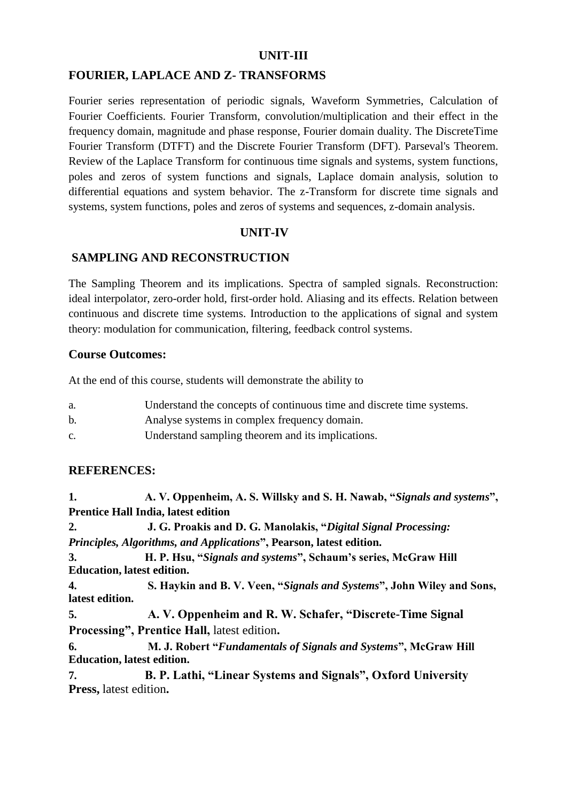# **UNIT-III**

# **FOURIER, LAPLACE AND Z- TRANSFORMS**

Fourier series representation of periodic signals, Waveform Symmetries, Calculation of Fourier Coefficients. Fourier Transform, convolution/multiplication and their effect in the frequency domain, magnitude and phase response, Fourier domain duality. The DiscreteTime Fourier Transform (DTFT) and the Discrete Fourier Transform (DFT). Parseval's Theorem. Review of the Laplace Transform for continuous time signals and systems, system functions, poles and zeros of system functions and signals, Laplace domain analysis, solution to differential equations and system behavior. The z-Transform for discrete time signals and systems, system functions, poles and zeros of systems and sequences, z-domain analysis.

#### **UNIT-IV**

# **SAMPLING AND RECONSTRUCTION**

The Sampling Theorem and its implications. Spectra of sampled signals. Reconstruction: ideal interpolator, zero-order hold, first-order hold. Aliasing and its effects. Relation between continuous and discrete time systems. Introduction to the applications of signal and system theory: modulation for communication, filtering, feedback control systems.

#### **Course Outcomes:**

At the end of this course, students will demonstrate the ability to

| a. | Understand the concepts of continuous time and discrete time systems. |
|----|-----------------------------------------------------------------------|
| b. | Analyse systems in complex frequency domain.                          |
| C. | Understand sampling theorem and its implications.                     |

#### **REFERENCES:**

**1. A. V. Oppenheim, A. S. Willsky and S. H. Nawab, "***Signals and systems***", Prentice Hall India, latest edition 2. J. G. Proakis and D. G. Manolakis, "***Digital Signal Processing: Principles, Algorithms, and Applications***", Pearson, latest edition. 3. H. P. Hsu, "***Signals and systems***", Schaum's series, McGraw Hill Education, latest edition. 4. S. Haykin and B. V. Veen, "***Signals and Systems***", John Wiley and Sons, latest edition. 5. A. V. Oppenheim and R. W. Schafer, "Discrete-Time Signal Processing", Prentice Hall,** latest edition**. 6. M. J. Robert "***Fundamentals of Signals and Systems***", McGraw Hill Education, latest edition. 7. B. P. Lathi, "Linear Systems and Signals", Oxford University Press,** latest edition**.**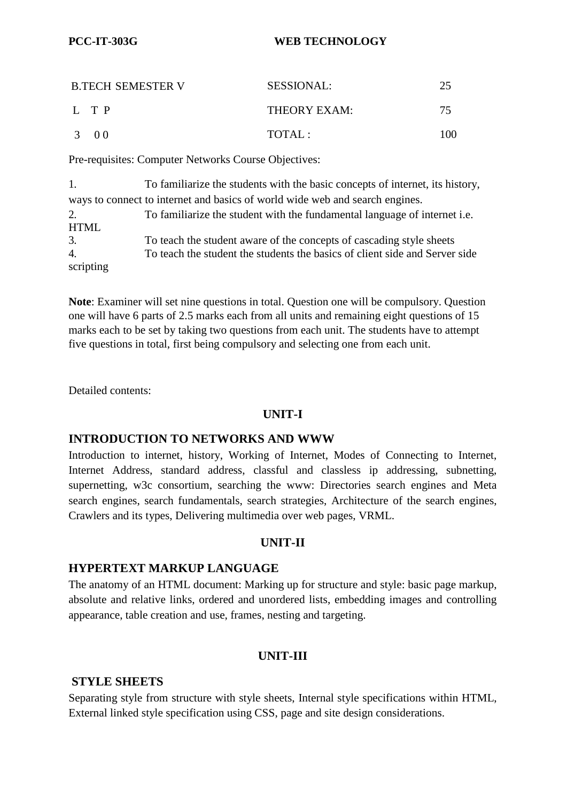# **PCC-IT-303G WEB TECHNOLOGY**

| <b>B.TECH SEMESTER V</b> | <b>SESSIONAL:</b> |     |
|--------------------------|-------------------|-----|
| L TP                     | THEORY EXAM:      | 75  |
| 3 00                     | TOTAI.:           | 100 |

Pre-requisites: Computer Networks Course Objectives:

1. To familiarize the students with the basic concepts of internet, its history, ways to connect to internet and basics of world wide web and search engines. 2. To familiarize the student with the fundamental language of internet i.e. HTML 3. To teach the student aware of the concepts of cascading style sheets 4. To teach the student the students the basics of client side and Server side scripting

**Note**: Examiner will set nine questions in total. Question one will be compulsory. Question one will have 6 parts of 2.5 marks each from all units and remaining eight questions of 15 marks each to be set by taking two questions from each unit. The students have to attempt five questions in total, first being compulsory and selecting one from each unit.

Detailed contents:

# **UNIT-I**

# **INTRODUCTION TO NETWORKS AND WWW**

Introduction to internet, history, Working of Internet, Modes of Connecting to Internet, Internet Address, standard address, classful and classless ip addressing, subnetting, supernetting, w3c consortium, searching the www: Directories search engines and Meta search engines, search fundamentals, search strategies, Architecture of the search engines, Crawlers and its types, Delivering multimedia over web pages, VRML.

# **UNIT-II**

# **HYPERTEXT MARKUP LANGUAGE**

The anatomy of an HTML document: Marking up for structure and style: basic page markup, absolute and relative links, ordered and unordered lists, embedding images and controlling appearance, table creation and use, frames, nesting and targeting.

# **UNIT-III**

# **STYLE SHEETS**

Separating style from structure with style sheets, Internal style specifications within HTML, External linked style specification using CSS, page and site design considerations.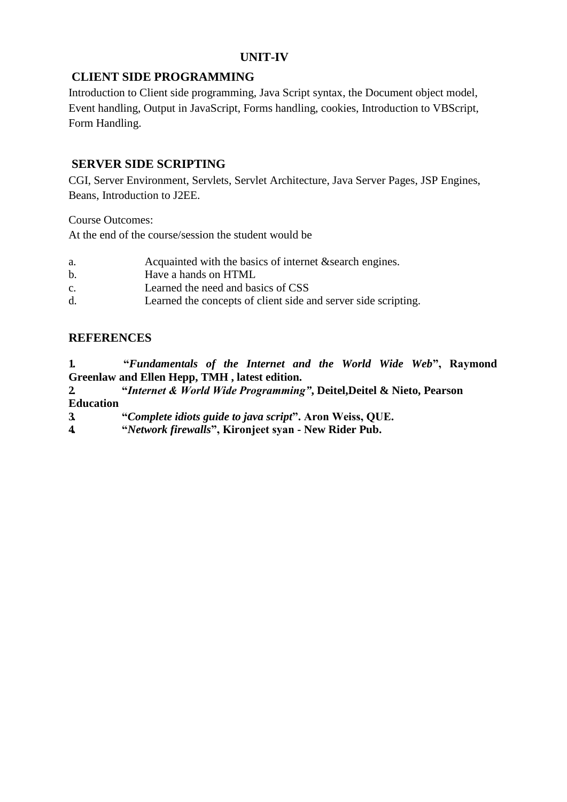# **UNIT-IV**

# **CLIENT SIDE PROGRAMMING**

Introduction to Client side programming, Java Script syntax, the Document object model, Event handling, Output in JavaScript, Forms handling, cookies, Introduction to VBScript, Form Handling.

# **SERVER SIDE SCRIPTING**

CGI, Server Environment, Servlets, Servlet Architecture, Java Server Pages, JSP Engines, Beans, Introduction to J2EE.

Course Outcomes:

At the end of the course/session the student would be

| a.             | Acquainted with the basics of internet & search engines.       |
|----------------|----------------------------------------------------------------|
| b.             | Have a hands on HTML                                           |
| $\mathbf{C}$ . | Learned the need and basics of CSS                             |
| d.             | Learned the concepts of client side and server side scripting. |

# **REFERENCES**

**1. "***Fundamentals of the Internet and the World Wide Web***", Raymond Greenlaw and Ellen Hepp, TMH , latest edition.**

- **2. "***Internet & World Wide Programming"***, Deitel,Deitel & Nieto, Pearson Education**
- **3. "***Complete idiots guide to java script***". Aron Weiss, QUE.**
- **4. "***Network firewalls***", Kironjeet syan - New Rider Pub.**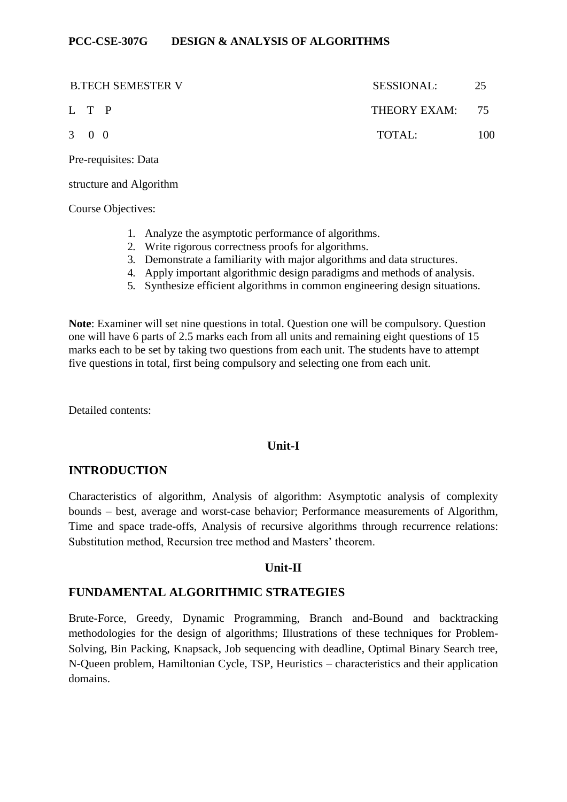#### **PCC-CSE-307G DESIGN & ANALYSIS OF ALGORITHMS**

|                     | <b>B.TECH SEMESTER V</b> | SESSIONAL:      | 25  |
|---------------------|--------------------------|-----------------|-----|
| L T P               |                          | THEORY EXAM: 75 |     |
| $3 \quad 0 \quad 0$ |                          | TOTAL:          | 100 |

Pre-requisites: Data

structure and Algorithm

Course Objectives:

- 1. Analyze the asymptotic performance of algorithms.
- 2. Write rigorous correctness proofs for algorithms.
- 3. Demonstrate a familiarity with major algorithms and data structures.
- 4. Apply important algorithmic design paradigms and methods of analysis.
- 5. Synthesize efficient algorithms in common engineering design situations.

**Note**: Examiner will set nine questions in total. Question one will be compulsory. Question one will have 6 parts of 2.5 marks each from all units and remaining eight questions of 15 marks each to be set by taking two questions from each unit. The students have to attempt five questions in total, first being compulsory and selecting one from each unit.

Detailed contents:

# **Unit-I**

# **INTRODUCTION**

Characteristics of algorithm, Analysis of algorithm: Asymptotic analysis of complexity bounds – best, average and worst-case behavior; Performance measurements of Algorithm, Time and space trade-offs, Analysis of recursive algorithms through recurrence relations: Substitution method, Recursion tree method and Masters' theorem.

# **Unit-II**

# **FUNDAMENTAL ALGORITHMIC STRATEGIES**

Brute-Force, Greedy, Dynamic Programming, Branch and-Bound and backtracking methodologies for the design of algorithms; Illustrations of these techniques for Problem-Solving, Bin Packing, Knapsack, Job sequencing with deadline, Optimal Binary Search tree, N-Queen problem, Hamiltonian Cycle, TSP, Heuristics – characteristics and their application domains.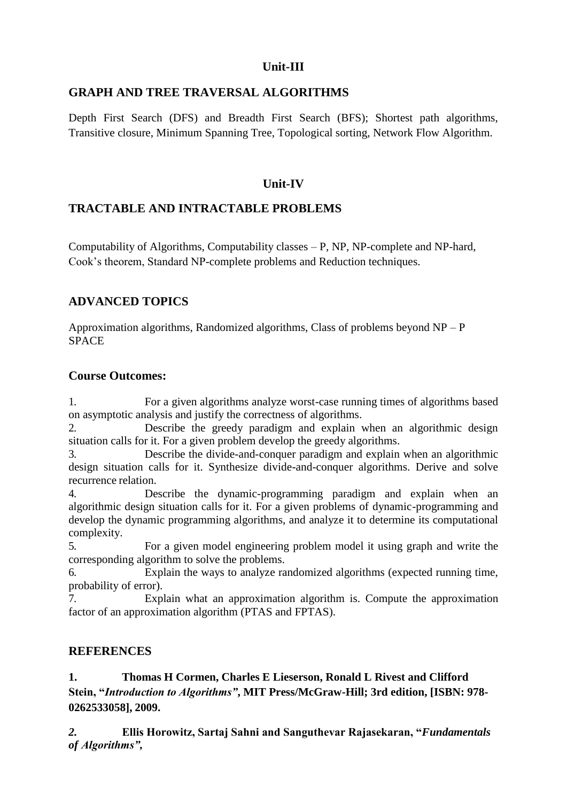# **Unit-III**

# **GRAPH AND TREE TRAVERSAL ALGORITHMS**

Depth First Search (DFS) and Breadth First Search (BFS); Shortest path algorithms, Transitive closure, Minimum Spanning Tree, Topological sorting, Network Flow Algorithm.

# **Unit-IV**

# **TRACTABLE AND INTRACTABLE PROBLEMS**

Computability of Algorithms, Computability classes – P, NP, NP-complete and NP-hard, Cook's theorem, Standard NP-complete problems and Reduction techniques.

# **ADVANCED TOPICS**

Approximation algorithms, Randomized algorithms, Class of problems beyond  $NP - P$ **SPACE** 

# **Course Outcomes:**

1. For a given algorithms analyze worst-case running times of algorithms based on asymptotic analysis and justify the correctness of algorithms.

2. Describe the greedy paradigm and explain when an algorithmic design situation calls for it. For a given problem develop the greedy algorithms.

3. Describe the divide-and-conquer paradigm and explain when an algorithmic design situation calls for it. Synthesize divide-and-conquer algorithms. Derive and solve recurrence relation.

4. Describe the dynamic-programming paradigm and explain when an algorithmic design situation calls for it. For a given problems of dynamic-programming and develop the dynamic programming algorithms, and analyze it to determine its computational complexity.

5. For a given model engineering problem model it using graph and write the corresponding algorithm to solve the problems.

6. Explain the ways to analyze randomized algorithms (expected running time, probability of error).

7. Explain what an approximation algorithm is. Compute the approximation factor of an approximation algorithm (PTAS and FPTAS).

# **REFERENCES**

**1. Thomas H Cormen, Charles E Lieserson, Ronald L Rivest and Clifford Stein, "***Introduction to Algorithms"***, MIT Press/McGraw-Hill; 3rd edition, [ISBN: 978- 0262533058], 2009.**

*2.* **Ellis Horowitz, Sartaj Sahni and Sanguthevar Rajasekaran, "***Fundamentals of Algorithms",*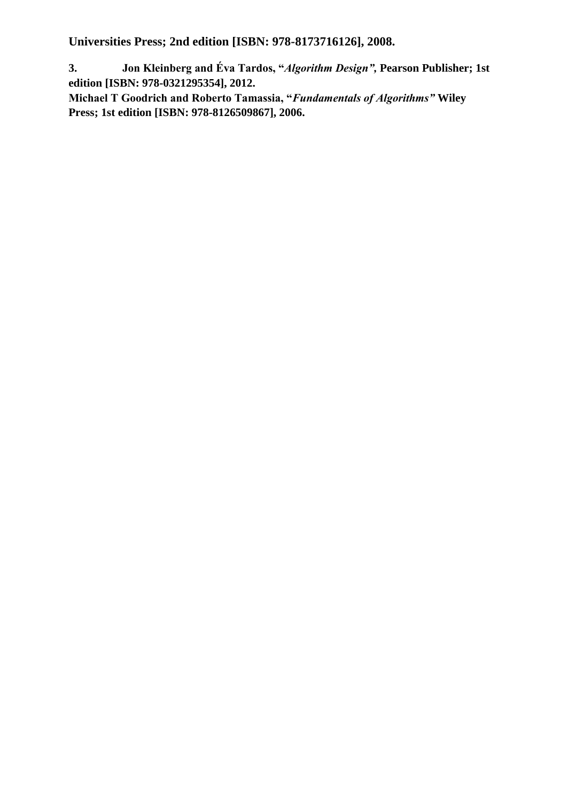**Universities Press; 2nd edition [ISBN: 978-8173716126], 2008.**

**3. Jon Kleinberg and Éva Tardos, "***Algorithm Design",* **Pearson Publisher; 1st edition [ISBN: 978-0321295354], 2012.**

**Michael T Goodrich and Roberto Tamassia, "***Fundamentals of Algorithms"* **Wiley Press; 1st edition [ISBN: 978-8126509867], 2006.**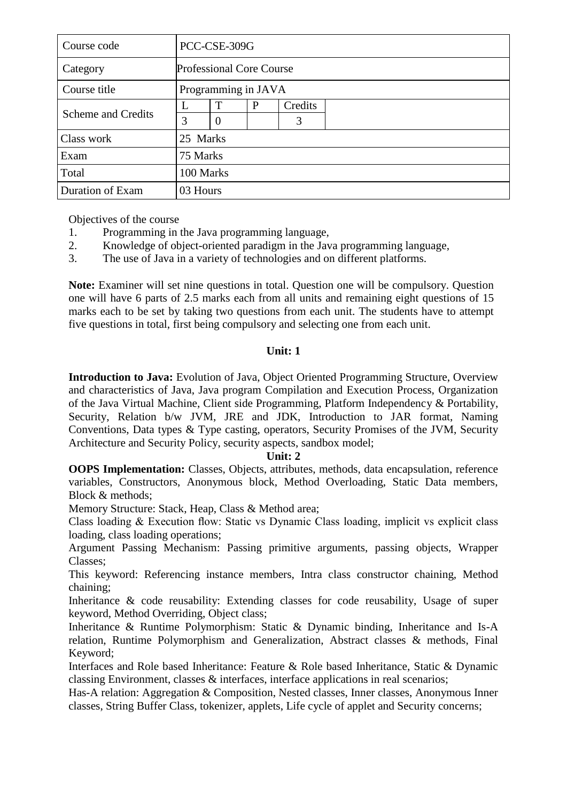| Course code               |          | PCC-CSE-309G                    |   |         |  |  |  |
|---------------------------|----------|---------------------------------|---|---------|--|--|--|
| Category                  |          | <b>Professional Core Course</b> |   |         |  |  |  |
| Course title              |          | Programming in JAVA             |   |         |  |  |  |
|                           |          | T                               | P | Credits |  |  |  |
| <b>Scheme and Credits</b> | 3        | $\Omega$                        |   | 3       |  |  |  |
| Class work                | 25 Marks |                                 |   |         |  |  |  |
| Exam                      | 75 Marks |                                 |   |         |  |  |  |
| Total                     |          | 100 Marks                       |   |         |  |  |  |
| Duration of Exam          | 03 Hours |                                 |   |         |  |  |  |

Objectives of the course

- 1. Programming in the Java programming language,
- 2. Knowledge of object-oriented paradigm in the Java programming language,
- 3. The use of Java in a variety of technologies and on different platforms.

**Note:** Examiner will set nine questions in total. Question one will be compulsory. Question one will have 6 parts of 2.5 marks each from all units and remaining eight questions of 15 marks each to be set by taking two questions from each unit. The students have to attempt five questions in total, first being compulsory and selecting one from each unit.

# **Unit: 1**

**Introduction to Java:** Evolution of Java, Object Oriented Programming Structure, Overview and characteristics of Java, Java program Compilation and Execution Process, Organization of the Java Virtual Machine, Client side Programming, Platform Independency & Portability, Security, Relation b/w JVM, JRE and JDK, Introduction to JAR format, Naming Conventions, Data types & Type casting, operators, Security Promises of the JVM, Security Architecture and Security Policy, security aspects, sandbox model;

# **Unit: 2**

**OOPS Implementation:** Classes, Objects, attributes, methods, data encapsulation, reference variables, Constructors, Anonymous block, Method Overloading, Static Data members, Block & methods;

Memory Structure: Stack, Heap, Class & Method area;

Class loading & Execution flow: Static vs Dynamic Class loading, implicit vs explicit class loading, class loading operations;

Argument Passing Mechanism: Passing primitive arguments, passing objects, Wrapper Classes;

This keyword: Referencing instance members, Intra class constructor chaining, Method chaining;

Inheritance & code reusability: Extending classes for code reusability, Usage of super keyword, Method Overriding, Object class;

Inheritance & Runtime Polymorphism: Static & Dynamic binding, Inheritance and Is-A relation, Runtime Polymorphism and Generalization, Abstract classes & methods, Final Keyword;

Interfaces and Role based Inheritance: Feature & Role based Inheritance, Static & Dynamic classing Environment, classes  $\&$  interfaces, interface applications in real scenarios;

Has-A relation: Aggregation & Composition, Nested classes, Inner classes, Anonymous Inner classes, String Buffer Class, tokenizer, applets, Life cycle of applet and Security concerns;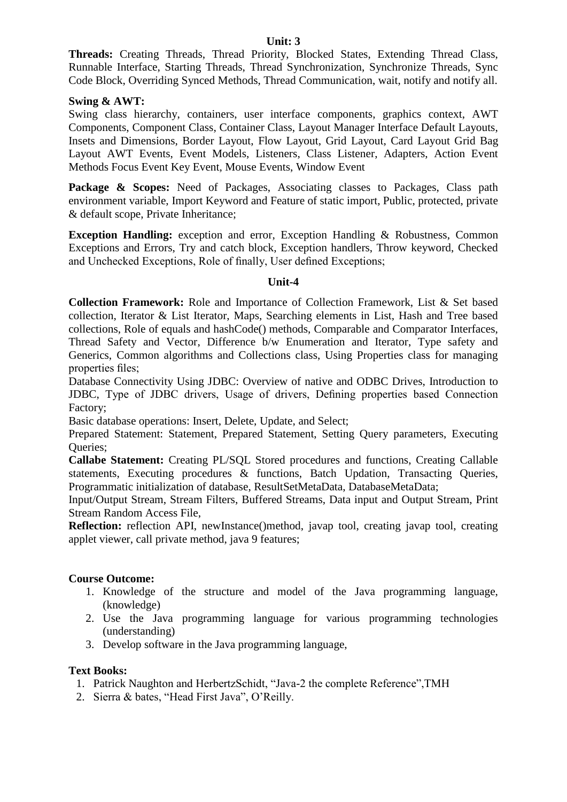**Threads:** Creating Threads, Thread Priority, Blocked States, Extending Thread Class, Runnable Interface, Starting Threads, Thread Synchronization, Synchronize Threads, Sync Code Block, Overriding Synced Methods, Thread Communication, wait, notify and notify all.

#### **Swing & AWT:**

Swing class hierarchy, containers, user interface components, graphics context, AWT Components, Component Class, Container Class, Layout Manager Interface Default Layouts, Insets and Dimensions, Border Layout, Flow Layout, Grid Layout, Card Layout Grid Bag Layout AWT Events, Event Models, Listeners, Class Listener, Adapters, Action Event Methods Focus Event Key Event, Mouse Events, Window Event

Package & Scopes: Need of Packages, Associating classes to Packages, Class path environment variable, Import Keyword and Feature of static import, Public, protected, private & default scope, Private Inheritance;

**Exception Handling:** exception and error, Exception Handling & Robustness, Common Exceptions and Errors, Try and catch block, Exception handlers, Throw keyword, Checked and Unchecked Exceptions, Role of finally, User defined Exceptions;

#### **Unit-4**

**Collection Framework:** Role and Importance of Collection Framework, List & Set based collection, Iterator & List Iterator, Maps, Searching elements in List, Hash and Tree based collections, Role of equals and hashCode() methods, Comparable and Comparator Interfaces, Thread Safety and Vector, Difference b/w Enumeration and Iterator, Type safety and Generics, Common algorithms and Collections class, Using Properties class for managing properties files;

Database Connectivity Using JDBC: Overview of native and ODBC Drives, Introduction to JDBC, Type of JDBC drivers, Usage of drivers, Defining properties based Connection Factory;

Basic database operations: Insert, Delete, Update, and Select;

Prepared Statement: Statement, Prepared Statement, Setting Query parameters, Executing Queries;

**Callabe Statement:** Creating PL/SQL Stored procedures and functions, Creating Callable statements, Executing procedures & functions, Batch Updation, Transacting Queries, Programmatic initialization of database, ResultSetMetaData, DatabaseMetaData;

Input/Output Stream, Stream Filters, Buffered Streams, Data input and Output Stream, Print Stream Random Access File,

**Reflection:** reflection API, newInstance()method, javap tool, creating javap tool, creating applet viewer, call private method, java 9 features;

#### **Course Outcome:**

- 1. Knowledge of the structure and model of the Java programming language, (knowledge)
- 2. Use the Java programming language for various programming technologies (understanding)
- 3. Develop software in the Java programming language,

#### **Text Books:**

- 1. Patrick Naughton and HerbertzSchidt, "Java-2 the complete Reference",TMH
- 2. Sierra & bates, "Head First Java", O'Reilly.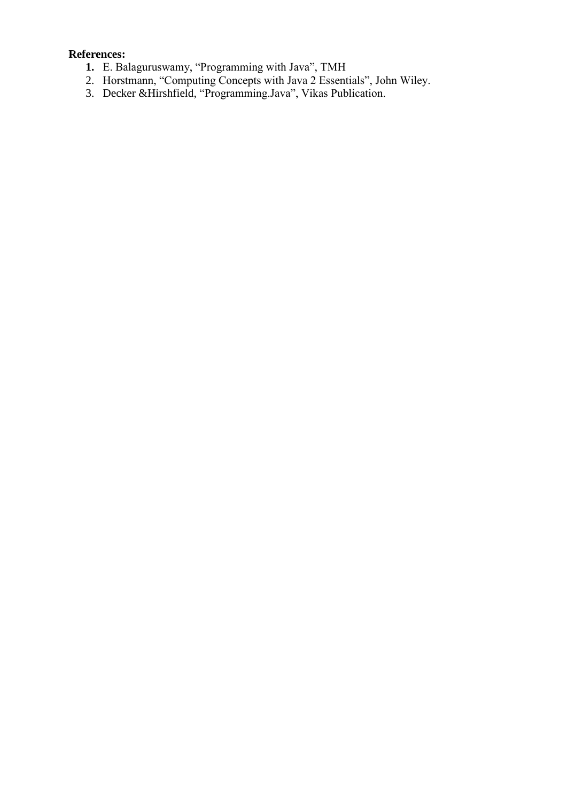# **References:**

- **1.** E. Balaguruswamy, "Programming with Java", TMH
- 2. Horstmann, "Computing Concepts with Java 2 Essentials", John Wiley.
- 3. Decker &Hirshfield, "Programming.Java", Vikas Publication.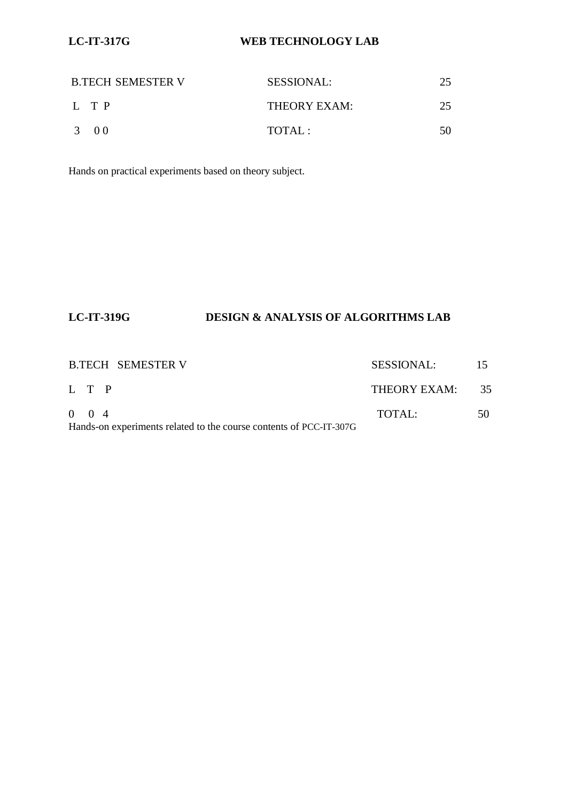# **LC-IT-317G WEB TECHNOLOGY LAB**

| <b>B.TECH SEMESTER V</b> | <b>SESSIONAL:</b> |    |
|--------------------------|-------------------|----|
| L TP                     | THEORY EXAM:      | 25 |
| 3 00                     | TOTAI:            | 50 |

Hands on practical experiments based on theory subject.

# **LC-IT-319G DESIGN & ANALYSIS OF ALGORITHMS LAB**

| <b>B.TECH SEMESTER V</b>                                           | SESSIONAL:   |      |
|--------------------------------------------------------------------|--------------|------|
| L T P                                                              | THEORY EXAM: | - 35 |
| $0 \t 0 \t 4$                                                      | TOTAI:       | 50   |
| Hands-on experiments related to the course contents of PCC-IT-307G |              |      |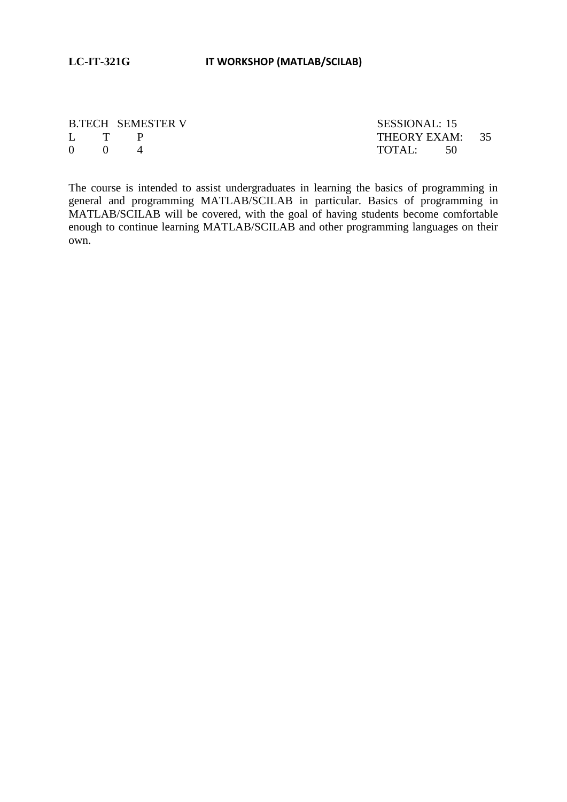|                                     | <b>B.TECH SEMESTER V</b> | SESSIONAL: 15   |  |
|-------------------------------------|--------------------------|-----------------|--|
|                                     | L T P                    | THEORY EXAM: 35 |  |
| $\begin{matrix} 0 & 0 \end{matrix}$ |                          | TOTAL: 50       |  |

The course is intended to assist undergraduates in learning the basics of programming in general and programming MATLAB/SCILAB in particular. Basics of programming in MATLAB/SCILAB will be covered, with the goal of having students become comfortable enough to continue learning MATLAB/SCILAB and other programming languages on their own.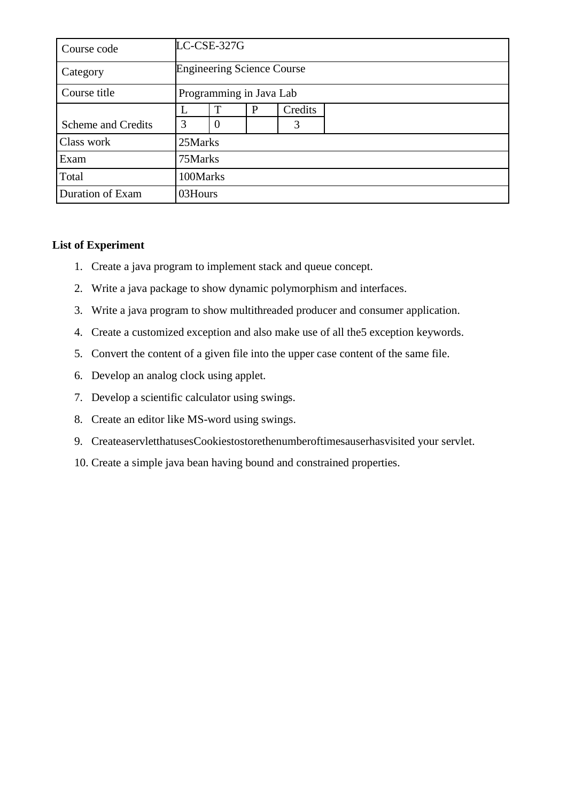| Course code               |         | LC-CSE-327G                       |  |   |  |  |  |  |  |
|---------------------------|---------|-----------------------------------|--|---|--|--|--|--|--|
| Category                  |         | <b>Engineering Science Course</b> |  |   |  |  |  |  |  |
| Course title              |         | Programming in Java Lab           |  |   |  |  |  |  |  |
|                           |         | Credits<br>Т<br>P                 |  |   |  |  |  |  |  |
| <b>Scheme and Credits</b> | 3       | $\theta$                          |  | 3 |  |  |  |  |  |
| Class work                | 25Marks |                                   |  |   |  |  |  |  |  |
| Exam                      | 75Marks |                                   |  |   |  |  |  |  |  |
| Total                     |         | 100Marks                          |  |   |  |  |  |  |  |
| Duration of Exam          | 03Hours |                                   |  |   |  |  |  |  |  |

# **List of Experiment**

- 1. Create a java program to implement stack and queue concept.
- 2. Write a java package to show dynamic polymorphism and interfaces.
- 3. Write a java program to show multithreaded producer and consumer application.
- 4. Create a customized exception and also make use of all the5 exception keywords.
- 5. Convert the content of a given file into the upper case content of the same file.
- 6. Develop an analog clock using applet.
- 7. Develop a scientific calculator using swings.
- 8. Create an editor like MS-word using swings.
- 9. CreateaservletthatusesCookiestostorethenumberoftimesauserhasvisited your servlet.
- 10. Create a simple java bean having bound and constrained properties.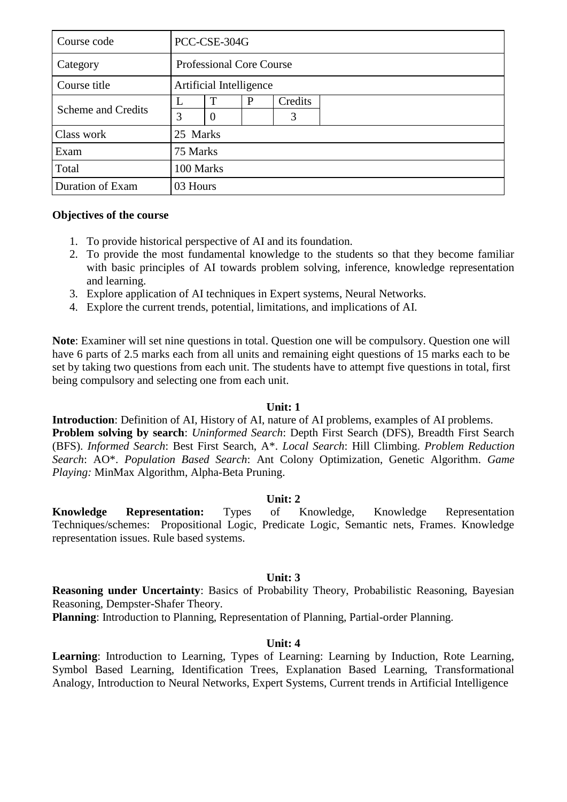| Course code               |          | PCC-CSE-304G                    |   |         |  |  |  |  |
|---------------------------|----------|---------------------------------|---|---------|--|--|--|--|
| Category                  |          | <b>Professional Core Course</b> |   |         |  |  |  |  |
| Course title              |          | Artificial Intelligence         |   |         |  |  |  |  |
|                           |          | $\mathbf T$                     | P | Credits |  |  |  |  |
| <b>Scheme and Credits</b> | 3        | $\theta$                        |   | 3       |  |  |  |  |
| Class work                | 25 Marks |                                 |   |         |  |  |  |  |
| Exam                      | 75 Marks |                                 |   |         |  |  |  |  |
| Total                     |          | 100 Marks                       |   |         |  |  |  |  |
| Duration of Exam          | 03 Hours |                                 |   |         |  |  |  |  |

### **Objectives of the course**

- 1. To provide historical perspective of AI and its foundation.
- 2. To provide the most fundamental knowledge to the students so that they become familiar with basic principles of AI towards problem solving, inference, knowledge representation and learning.
- 3. Explore application of AI techniques in Expert systems, Neural Networks.
- 4. Explore the current trends, potential, limitations, and implications of AI.

**Note**: Examiner will set nine questions in total. Question one will be compulsory. Question one will have 6 parts of 2.5 marks each from all units and remaining eight questions of 15 marks each to be set by taking two questions from each unit. The students have to attempt five questions in total, first being compulsory and selecting one from each unit.

#### **Unit: 1**

**Introduction**: Definition of AI, History of AI, nature of AI problems, examples of AI problems. **Problem solving by search**: *Uninformed Search*: Depth First Search (DFS), Breadth First Search (BFS). *Informed Search*: Best First Search, A\*. *Local Search*: Hill Climbing. *Problem Reduction Search*: AO\*. *Population Based Search*: Ant Colony Optimization, Genetic Algorithm. *Game Playing:* MinMax Algorithm, Alpha-Beta Pruning.

#### **Unit: 2**

**Knowledge Representation:** Types of Knowledge, Knowledge Representation Techniques/schemes: Propositional Logic, Predicate Logic, Semantic nets, Frames. Knowledge representation issues. Rule based systems.

#### **Unit: 3**

**Reasoning under Uncertainty**: Basics of Probability Theory, Probabilistic Reasoning, Bayesian Reasoning, Dempster-Shafer Theory.

**Planning**: Introduction to Planning, Representation of Planning, Partial-order Planning.

#### **Unit: 4**

**Learning**: Introduction to Learning, Types of Learning: Learning by Induction, Rote Learning, Symbol Based Learning, Identification Trees, Explanation Based Learning, Transformational Analogy, Introduction to Neural Networks, Expert Systems, Current trends in Artificial Intelligence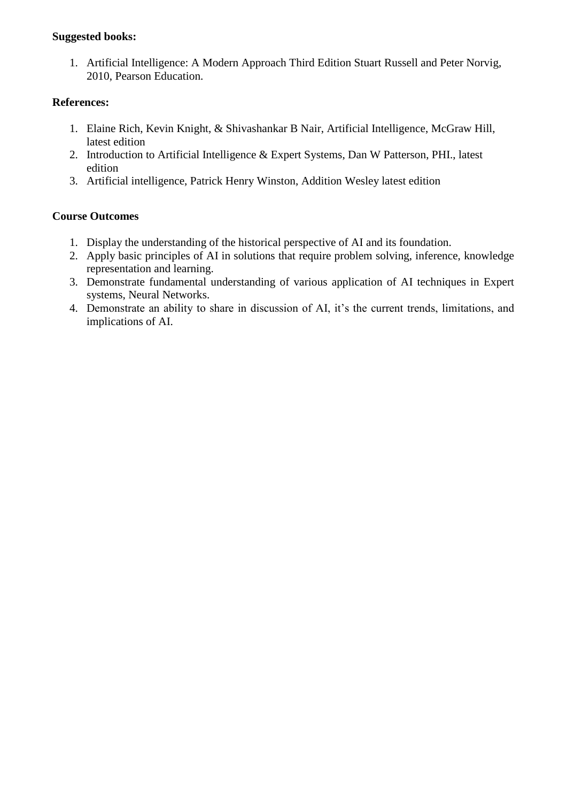# **Suggested books:**

1. Artificial Intelligence: A Modern Approach Third Edition Stuart Russell and Peter Norvig, 2010, Pearson Education.

# **References:**

- 1. Elaine Rich, Kevin Knight, & Shivashankar B Nair, Artificial Intelligence, McGraw Hill, latest edition
- 2. Introduction to Artificial Intelligence & Expert Systems, Dan W Patterson, PHI., latest edition
- 3. Artificial intelligence, Patrick Henry Winston, Addition Wesley latest edition

# **Course Outcomes**

- 1. Display the understanding of the historical perspective of AI and its foundation.
- 2. Apply basic principles of AI in solutions that require problem solving, inference, knowledge representation and learning.
- 3. Demonstrate fundamental understanding of various application of AI techniques in Expert systems, Neural Networks.
- 4. Demonstrate an ability to share in discussion of AI, it's the current trends, limitations, and implications of AI.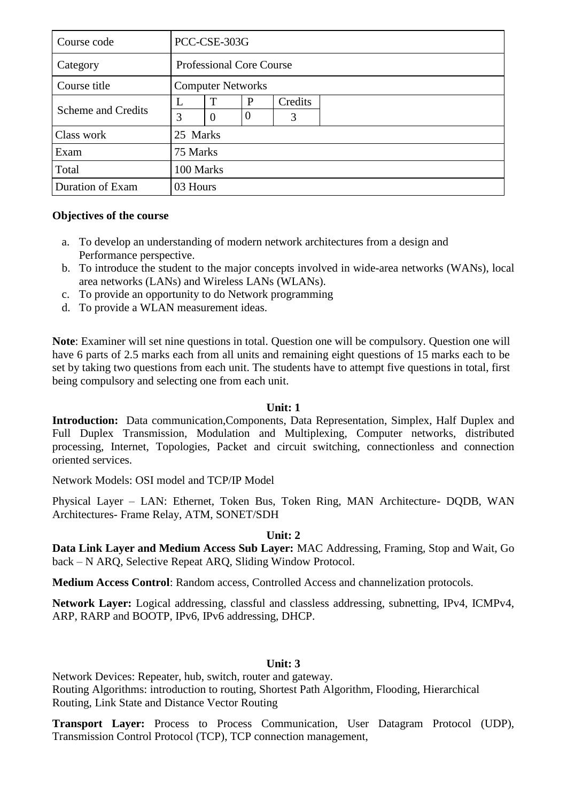| Course code               |   | PCC-CSE-303G                    |   |         |  |  |  |  |
|---------------------------|---|---------------------------------|---|---------|--|--|--|--|
| Category                  |   | <b>Professional Core Course</b> |   |         |  |  |  |  |
| Course title              |   | <b>Computer Networks</b>        |   |         |  |  |  |  |
|                           |   | $\mathsf{T}$                    | P | Credits |  |  |  |  |
| <b>Scheme and Credits</b> | 3 | $\theta$<br>$\Omega$<br>3       |   |         |  |  |  |  |
| Class work                |   | 25 Marks                        |   |         |  |  |  |  |
| Exam                      |   | 75 Marks                        |   |         |  |  |  |  |
| Total                     |   | 100 Marks                       |   |         |  |  |  |  |
| Duration of Exam          |   | 03 Hours                        |   |         |  |  |  |  |

### **Objectives of the course**

- a. To develop an understanding of modern network architectures from a design and Performance perspective.
- b. To introduce the student to the major concepts involved in wide-area networks (WANs), local area networks (LANs) and Wireless LANs (WLANs).
- c. To provide an opportunity to do Network programming
- d. To provide a WLAN measurement ideas.

**Note**: Examiner will set nine questions in total. Question one will be compulsory. Question one will have 6 parts of 2.5 marks each from all units and remaining eight questions of 15 marks each to be set by taking two questions from each unit. The students have to attempt five questions in total, first being compulsory and selecting one from each unit.

#### **Unit: 1**

**Introduction:** Data communication,Components, Data Representation, Simplex, Half Duplex and Full Duplex Transmission, Modulation and Multiplexing, Computer networks, distributed processing, Internet, Topologies, Packet and circuit switching, connectionless and connection oriented services.

Network Models: OSI model and TCP/IP Model

Physical Layer – LAN: Ethernet, Token Bus, Token Ring, MAN Architecture- DQDB, WAN Architectures- Frame Relay, ATM, SONET/SDH

# **Unit: 2**

**Data Link Layer and Medium Access Sub Layer:** MAC Addressing, Framing, Stop and Wait, Go back – N ARQ, Selective Repeat ARQ, Sliding Window Protocol.

**Medium Access Control**: Random access, Controlled Access and channelization protocols.

**Network Layer:** Logical addressing, classful and classless addressing, subnetting, IPv4, ICMPv4, ARP, RARP and BOOTP, IPv6, IPv6 addressing, DHCP.

# **Unit: 3**

Network Devices: Repeater, hub, switch, router and gateway. Routing Algorithms: introduction to routing, Shortest Path Algorithm, Flooding, Hierarchical Routing, Link State and Distance Vector Routing

**Transport Layer:** Process to Process Communication, User Datagram Protocol (UDP), Transmission Control Protocol (TCP), TCP connection management,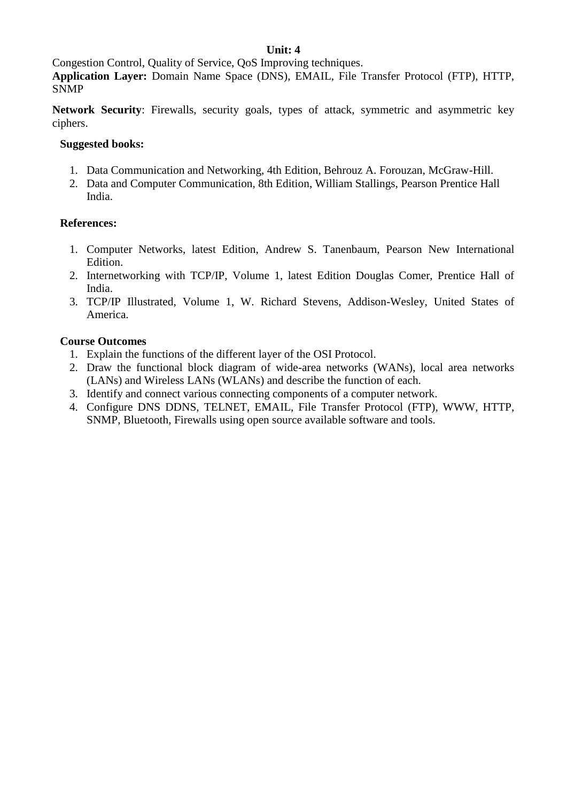# **Unit: 4**

Congestion Control, Quality of Service, QoS Improving techniques.

**Application Layer:** Domain Name Space (DNS), EMAIL, File Transfer Protocol (FTP), HTTP, SNMP

**Network Security**: Firewalls, security goals, types of attack, symmetric and asymmetric key ciphers.

# **Suggested books:**

- 1. Data Communication and Networking, 4th Edition, Behrouz A. Forouzan, McGraw-Hill.
- 2. Data and Computer Communication, 8th Edition, William Stallings, Pearson Prentice Hall India.

### **References:**

- 1. Computer Networks, latest Edition, Andrew S. Tanenbaum, Pearson New International Edition.
- 2. Internetworking with TCP/IP, Volume 1, latest Edition Douglas Comer, Prentice Hall of India.
- 3. TCP/IP Illustrated, Volume 1, W. Richard Stevens, Addison-Wesley, United States of America.

# **Course Outcomes**

- 1. Explain the functions of the different layer of the OSI Protocol.
- 2. Draw the functional block diagram of wide-area networks (WANs), local area networks (LANs) and Wireless LANs (WLANs) and describe the function of each.
- 3. Identify and connect various connecting components of a computer network.
- 4. Configure DNS DDNS, TELNET, EMAIL, File Transfer Protocol (FTP), WWW, HTTP, SNMP, Bluetooth, Firewalls using open source available software and tools.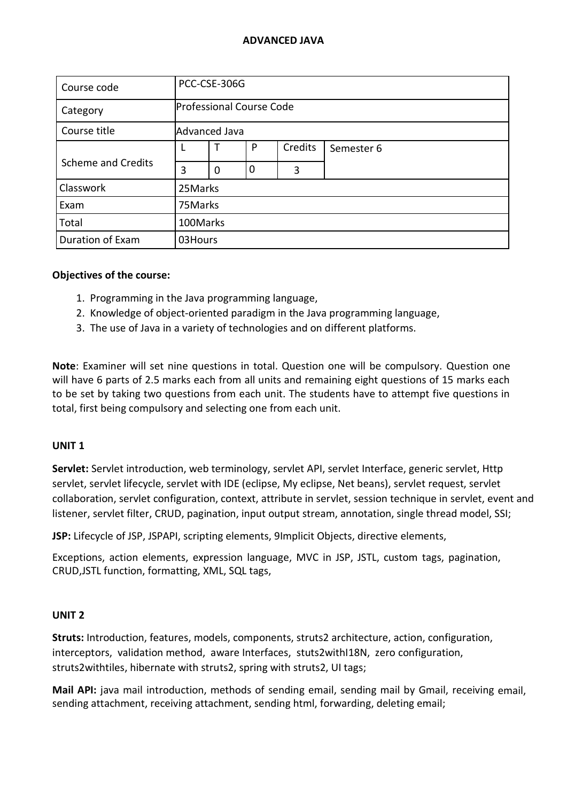| Course code               |         | PCC-CSE-306G                    |             |         |            |  |  |  |  |
|---------------------------|---------|---------------------------------|-------------|---------|------------|--|--|--|--|
| Category                  |         | <b>Professional Course Code</b> |             |         |            |  |  |  |  |
| Course title              |         | <b>Advanced Java</b>            |             |         |            |  |  |  |  |
|                           |         |                                 | P           | Credits | Semester 6 |  |  |  |  |
| <b>Scheme and Credits</b> | 3       | $\mathbf 0$                     | $\mathbf 0$ | 3       |            |  |  |  |  |
| Classwork                 | 25Marks |                                 |             |         |            |  |  |  |  |
| Exam                      | 75Marks |                                 |             |         |            |  |  |  |  |
| Total                     |         | 100Marks                        |             |         |            |  |  |  |  |
| Duration of Exam          | 03Hours |                                 |             |         |            |  |  |  |  |

#### **Objectives of the course:**

- 1. Programming in the Java programming language,
- 2. Knowledge of object-oriented paradigm in the Java programming language,
- 3. The use of Java in a variety of technologies and on different platforms.

**Note**: Examiner will set nine questions in total. Question one will be compulsory. Question one will have 6 parts of 2.5 marks each from all units and remaining eight questions of 15 marks each to be set by taking two questions from each unit. The students have to attempt five questions in total, first being compulsory and selecting one from each unit.

#### **UNIT 1**

**Servlet:** Servlet introduction, web terminology, servlet API, servlet Interface, generic servlet, Http servlet, servlet lifecycle, servlet with IDE (eclipse, My eclipse, Net beans), servlet request, servlet collaboration, servlet configuration, context, attribute in servlet, session technique in servlet, event and listener, servlet filter, CRUD, pagination, input output stream, annotation, single thread model, SSI;

**JSP:** Lifecycle of JSP, JSPAPI, scripting elements, 9Implicit Objects, directive elements,

Exceptions, action elements, expression language, MVC in JSP, JSTL, custom tags, pagination, CRUD,JSTL function, formatting, XML, SQL tags,

#### **UNIT 2**

**Struts:** Introduction, features, models, components, struts2 architecture, action, configuration, interceptors, validation method, aware Interfaces, stuts2withI18N, zero configuration, struts2withtiles, hibernate with struts2, spring with struts2, UI tags;

**Mail API:** java mail introduction, methods of sending email, sending mail by Gmail, receiving email, sending attachment, receiving attachment, sending html, forwarding, deleting email;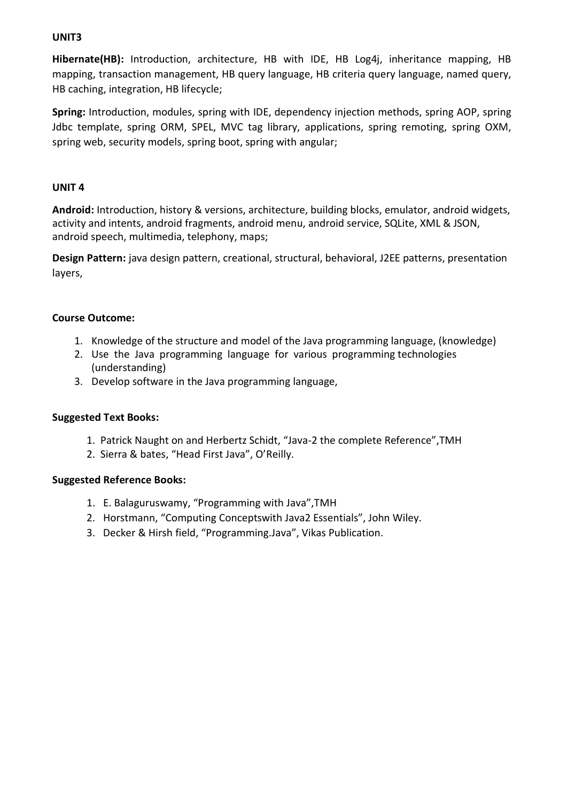# **UNIT3**

**Hibernate(HB):** Introduction, architecture, HB with IDE, HB Log4j, inheritance mapping, HB mapping, transaction management, HB query language, HB criteria query language, named query, HB caching, integration, HB lifecycle;

**Spring:** Introduction, modules, spring with IDE, dependency injection methods, spring AOP, spring Jdbc template, spring ORM, SPEL, MVC tag library, applications, spring remoting, spring OXM, spring web, security models, spring boot, spring with angular;

### **UNIT 4**

**Android:** Introduction, history & versions, architecture, building blocks, emulator, android widgets, activity and intents, android fragments, android menu, android service, SQLite, XML & JSON, android speech, multimedia, telephony, maps;

**Design Pattern:** java design pattern, creational, structural, behavioral, J2EE patterns, presentation layers,

### **Course Outcome:**

- 1. Knowledge of the structure and model of the Java programming language, (knowledge)
- 2. Use the Java programming language for various programming technologies (understanding)
- 3. Develop software in the Java programming language,

#### **Suggested Text Books:**

- 1. Patrick Naught on and Herbertz Schidt, "Java-2 the complete Reference",TMH
- 2. Sierra & bates, "Head First Java", O'Reilly.

#### **Suggested Reference Books:**

- 1.E. Balaguruswamy, "Programming with Java",TMH
- 2. Horstmann, "Computing Conceptswith Java2 Essentials", John Wiley.
- 3. Decker & Hirsh field, "Programming.Java", Vikas Publication.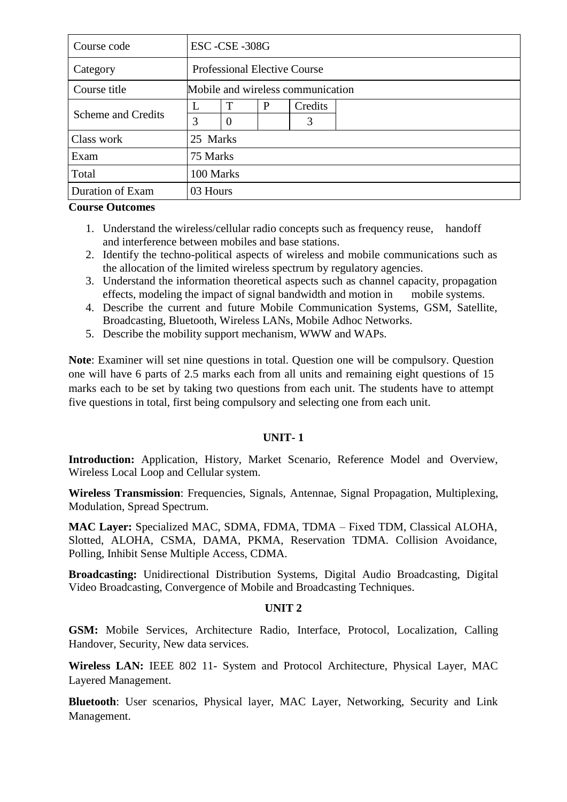| Course code               |          | ESC-CSE-308G                        |   |         |  |  |  |  |  |
|---------------------------|----------|-------------------------------------|---|---------|--|--|--|--|--|
| Category                  |          | <b>Professional Elective Course</b> |   |         |  |  |  |  |  |
| Course title              |          | Mobile and wireless communication   |   |         |  |  |  |  |  |
|                           |          | T                                   | P | Credits |  |  |  |  |  |
| <b>Scheme and Credits</b> | 3        | $\overline{0}$                      |   | 3       |  |  |  |  |  |
| Class work                | 25 Marks |                                     |   |         |  |  |  |  |  |
| Exam                      | 75 Marks |                                     |   |         |  |  |  |  |  |
| Total                     |          | 100 Marks                           |   |         |  |  |  |  |  |
| Duration of Exam          | 03 Hours |                                     |   |         |  |  |  |  |  |

#### **Course Outcomes**

- 1. Understand the wireless/cellular radio concepts such as frequency reuse, handoff and interference between mobiles and base stations.
- 2. Identify the techno-political aspects of wireless and mobile communications such as the allocation of the limited wireless spectrum by regulatory agencies.
- 3. Understand the information theoretical aspects such as channel capacity, propagation effects, modeling the impact of signal bandwidth and motion in mobile systems.
- 4. Describe the current and future Mobile Communication Systems, GSM, Satellite, Broadcasting, Bluetooth, Wireless LANs, Mobile Adhoc Networks.
- 5. Describe the mobility support mechanism, WWW and WAPs.

**Note**: Examiner will set nine questions in total. Question one will be compulsory. Question one will have 6 parts of 2.5 marks each from all units and remaining eight questions of 15 marks each to be set by taking two questions from each unit. The students have to attempt five questions in total, first being compulsory and selecting one from each unit.

#### **UNIT- 1**

**Introduction:** Application, History, Market Scenario, Reference Model and Overview, Wireless Local Loop and Cellular system.

**Wireless Transmission**: Frequencies, Signals, Antennae, Signal Propagation, Multiplexing, Modulation, Spread Spectrum.

**MAC Layer:** Specialized MAC, SDMA, FDMA, TDMA – Fixed TDM, Classical ALOHA, Slotted, ALOHA, CSMA, DAMA, PKMA, Reservation TDMA. Collision Avoidance, Polling, Inhibit Sense Multiple Access, CDMA.

**Broadcasting:** Unidirectional Distribution Systems, Digital Audio Broadcasting, Digital Video Broadcasting, Convergence of Mobile and Broadcasting Techniques.

#### **UNIT 2**

**GSM:** Mobile Services, Architecture Radio, Interface, Protocol, Localization, Calling Handover, Security, New data services.

**Wireless LAN:** IEEE 802 11- System and Protocol Architecture, Physical Layer, MAC Layered Management.

**Bluetooth**: User scenarios, Physical layer, MAC Layer, Networking, Security and Link Management.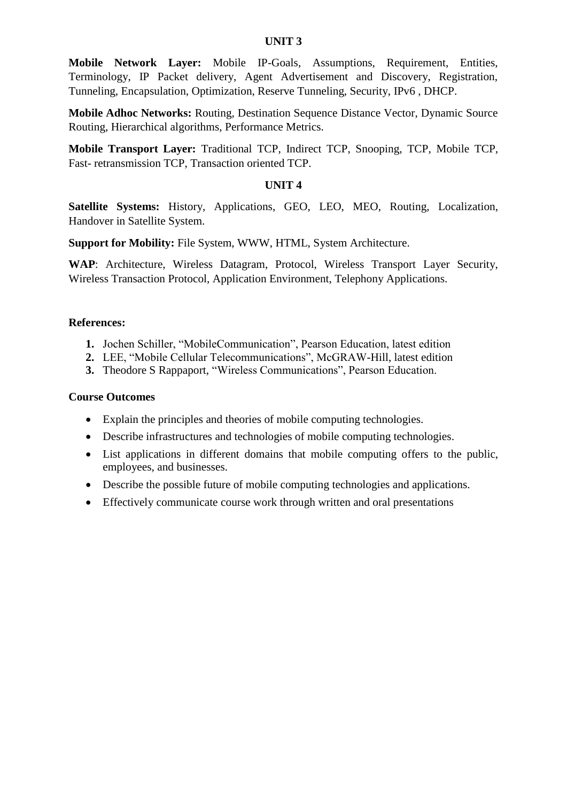#### **UNIT 3**

**Mobile Network Layer:** Mobile IP-Goals, Assumptions, Requirement, Entities, Terminology, IP Packet delivery, Agent Advertisement and Discovery, Registration, Tunneling, Encapsulation, Optimization, Reserve Tunneling, Security, IPv6 , DHCP.

**Mobile Adhoc Networks:** Routing, Destination Sequence Distance Vector, Dynamic Source Routing, Hierarchical algorithms, Performance Metrics.

**Mobile Transport Layer:** Traditional TCP, Indirect TCP, Snooping, TCP, Mobile TCP, Fast- retransmission TCP, Transaction oriented TCP.

#### **UNIT 4**

**Satellite Systems:** History, Applications, GEO, LEO, MEO, Routing, Localization, Handover in Satellite System.

**Support for Mobility:** File System, WWW, HTML, System Architecture.

**WAP**: Architecture, Wireless Datagram, Protocol, Wireless Transport Layer Security, Wireless Transaction Protocol, Application Environment, Telephony Applications.

#### **References:**

- **1.** Jochen Schiller, "MobileCommunication", Pearson Education, latest edition
- **2.** LEE, "Mobile Cellular Telecommunications", McGRAW-Hill, latest edition
- **3.** Theodore S Rappaport, "Wireless Communications", Pearson Education.

#### **Course Outcomes**

- Explain the principles and theories of mobile computing technologies.
- Describe infrastructures and technologies of mobile computing technologies.
- List applications in different domains that mobile computing offers to the public, employees, and businesses.
- Describe the possible future of mobile computing technologies and applications.
- Effectively communicate course work through written and oral presentations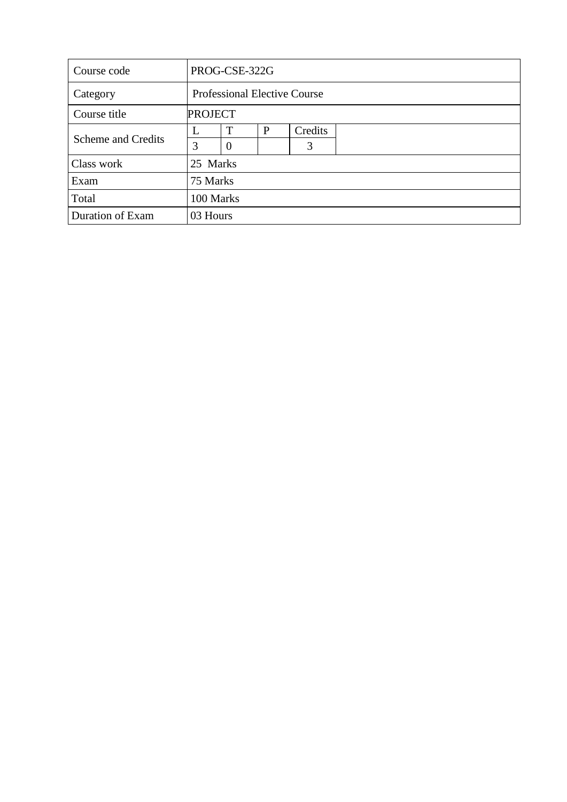| Course code        |          | PROG-CSE-322G                       |   |         |  |  |  |  |  |
|--------------------|----------|-------------------------------------|---|---------|--|--|--|--|--|
| Category           |          | <b>Professional Elective Course</b> |   |         |  |  |  |  |  |
| Course title       |          | <b>PROJECT</b>                      |   |         |  |  |  |  |  |
|                    | L        | $\mathbf{T}$                        | P | Credits |  |  |  |  |  |
| Scheme and Credits | 3        | $\overline{0}$                      |   | 3       |  |  |  |  |  |
| Class work         | 25 Marks |                                     |   |         |  |  |  |  |  |
| Exam               | 75 Marks |                                     |   |         |  |  |  |  |  |
| Total              |          | 100 Marks                           |   |         |  |  |  |  |  |
| Duration of Exam   | 03 Hours |                                     |   |         |  |  |  |  |  |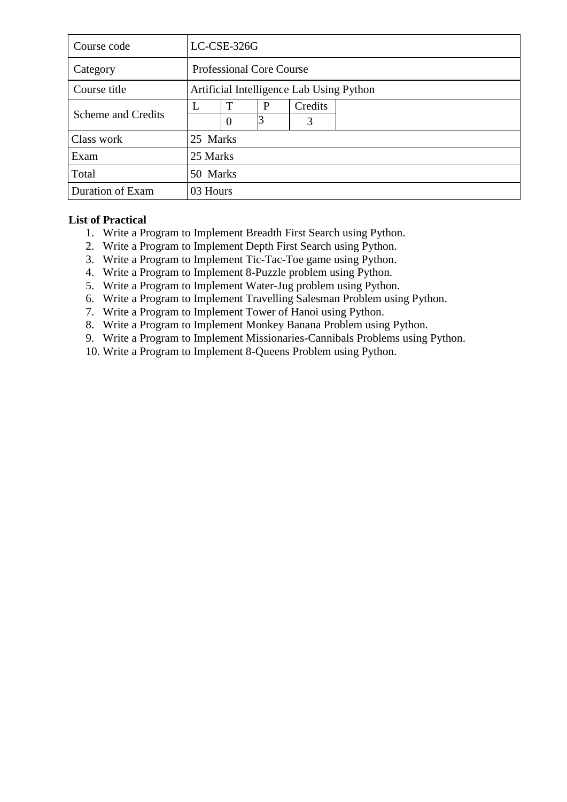| Course code        |          | LC-CSE-326G                              |  |   |  |  |  |  |  |
|--------------------|----------|------------------------------------------|--|---|--|--|--|--|--|
| Category           |          | <b>Professional Core Course</b>          |  |   |  |  |  |  |  |
| Course title       |          | Artificial Intelligence Lab Using Python |  |   |  |  |  |  |  |
|                    | L        | T                                        |  |   |  |  |  |  |  |
| Scheme and Credits |          | $\Omega$                                 |  | 3 |  |  |  |  |  |
| Class work         | 25 Marks |                                          |  |   |  |  |  |  |  |
| Exam               | 25 Marks |                                          |  |   |  |  |  |  |  |
| Total              |          | 50 Marks                                 |  |   |  |  |  |  |  |
| Duration of Exam   | 03 Hours |                                          |  |   |  |  |  |  |  |

# **List of Practical**

- 1. Write a Program to Implement Breadth First Search using Python.
- 2. Write a Program to Implement Depth First Search using Python.
- 3. Write a Program to Implement Tic-Tac-Toe game using Python.
- 4. Write a Program to Implement 8-Puzzle problem using Python.
- 5. Write a Program to Implement Water-Jug problem using Python.
- 6. Write a Program to Implement Travelling Salesman Problem using Python.
- 7. Write a Program to Implement Tower of Hanoi using Python.
- 8. Write a Program to Implement Monkey Banana Problem using Python.
- 9. Write a Program to Implement Missionaries-Cannibals Problems using Python.
- 10. Write a Program to Implement 8-Queens Problem using Python.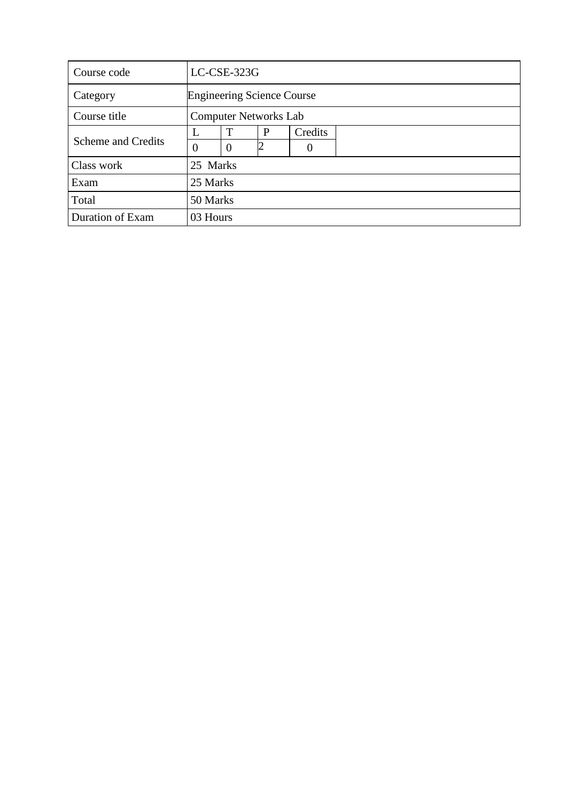| Course code        |                      | LC-CSE-323G                       |   |         |  |  |  |  |  |
|--------------------|----------------------|-----------------------------------|---|---------|--|--|--|--|--|
| Category           |                      | <b>Engineering Science Course</b> |   |         |  |  |  |  |  |
| Course title       |                      | <b>Computer Networks Lab</b>      |   |         |  |  |  |  |  |
|                    | T<br>L               |                                   | P | Credits |  |  |  |  |  |
| Scheme and Credits | $\theta$<br>$\Omega$ |                                   |   |         |  |  |  |  |  |
| Class work         | 25 Marks             |                                   |   |         |  |  |  |  |  |
| Exam               | 25 Marks             |                                   |   |         |  |  |  |  |  |
| Total              |                      | 50 Marks                          |   |         |  |  |  |  |  |
| Duration of Exam   | 03 Hours             |                                   |   |         |  |  |  |  |  |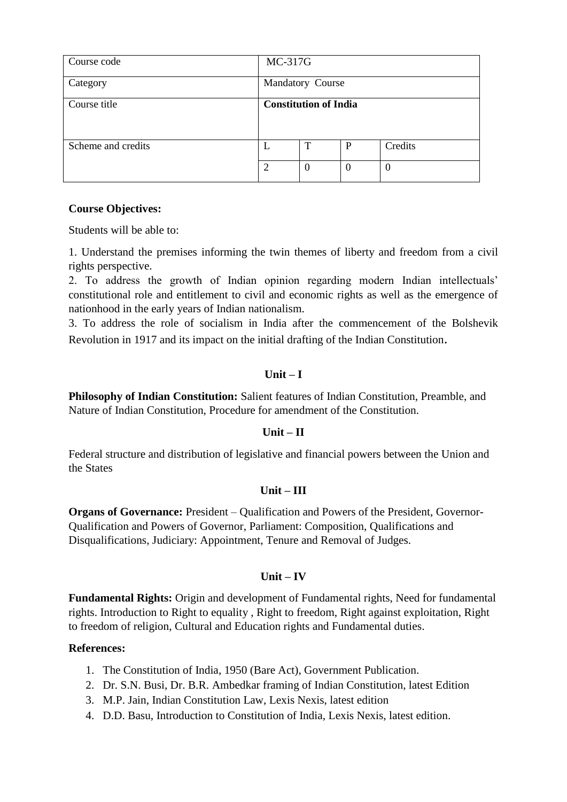| Course code        | MC-317G          |                              |          |                  |  |
|--------------------|------------------|------------------------------|----------|------------------|--|
| Category           | Mandatory Course |                              |          |                  |  |
| Course title       |                  | <b>Constitution of India</b> |          |                  |  |
| Scheme and credits | L                | T                            | P        | Credits          |  |
|                    | $\overline{2}$   | $\overline{0}$               | $\theta$ | $\boldsymbol{0}$ |  |

### **Course Objectives:**

Students will be able to:

1. Understand the premises informing the twin themes of liberty and freedom from a civil rights perspective.

2. To address the growth of Indian opinion regarding modern Indian intellectuals' constitutional role and entitlement to civil and economic rights as well as the emergence of nationhood in the early years of Indian nationalism.

3. To address the role of socialism in India after the commencement of the Bolshevik Revolution in 1917 and its impact on the initial drafting of the Indian Constitution.

### $\textbf{Unit} - \textbf{I}$

**Philosophy of Indian Constitution:** Salient features of Indian Constitution, Preamble, and Nature of Indian Constitution, Procedure for amendment of the Constitution.

#### **Unit – II**

Federal structure and distribution of legislative and financial powers between the Union and the States

#### **Unit – III**

**Organs of Governance:** President – Qualification and Powers of the President, Governor-Qualification and Powers of Governor, Parliament: Composition, Qualifications and Disqualifications, Judiciary: Appointment, Tenure and Removal of Judges.

# **Unit – IV**

**Fundamental Rights:** Origin and development of Fundamental rights, Need for fundamental rights. Introduction to Right to equality , Right to freedom, Right against exploitation, Right to freedom of religion, Cultural and Education rights and Fundamental duties.

# **References:**

- 1. The Constitution of India, 1950 (Bare Act), Government Publication.
- 2. Dr. S.N. Busi, Dr. B.R. Ambedkar framing of Indian Constitution, latest Edition
- 3. M.P. Jain, Indian Constitution Law, Lexis Nexis, latest edition
- 4. D.D. Basu, Introduction to Constitution of India, Lexis Nexis, latest edition.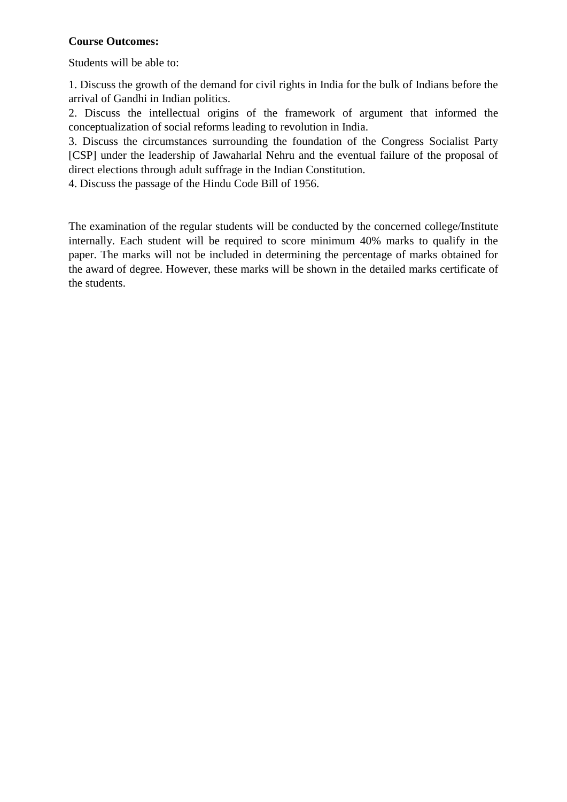# **Course Outcomes:**

Students will be able to:

1. Discuss the growth of the demand for civil rights in India for the bulk of Indians before the arrival of Gandhi in Indian politics.

2. Discuss the intellectual origins of the framework of argument that informed the conceptualization of social reforms leading to revolution in India.

3. Discuss the circumstances surrounding the foundation of the Congress Socialist Party [CSP] under the leadership of Jawaharlal Nehru and the eventual failure of the proposal of direct elections through adult suffrage in the Indian Constitution.

4. Discuss the passage of the Hindu Code Bill of 1956.

The examination of the regular students will be conducted by the concerned college/Institute internally. Each student will be required to score minimum 40% marks to qualify in the paper. The marks will not be included in determining the percentage of marks obtained for the award of degree. However, these marks will be shown in the detailed marks certificate of the students.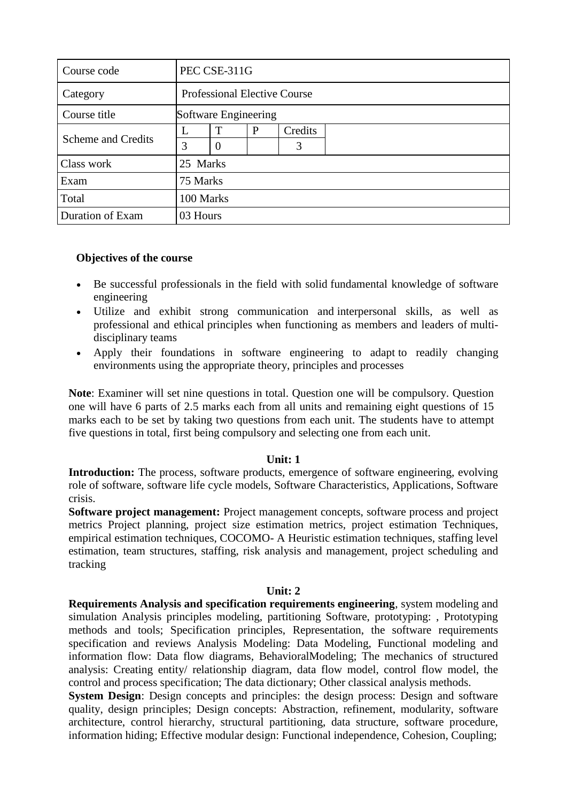| Course code               |          | PEC CSE-311G                        |   |         |  |  |  |  |
|---------------------------|----------|-------------------------------------|---|---------|--|--|--|--|
| Category                  |          | <b>Professional Elective Course</b> |   |         |  |  |  |  |
| Course title              |          | Software Engineering                |   |         |  |  |  |  |
|                           | L        | т                                   | P | Credits |  |  |  |  |
| <b>Scheme and Credits</b> | 3        | $\overline{0}$                      |   | 3       |  |  |  |  |
| Class work                | 25 Marks |                                     |   |         |  |  |  |  |
| Exam                      | 75 Marks |                                     |   |         |  |  |  |  |
| Total                     |          | 100 Marks                           |   |         |  |  |  |  |
| Duration of Exam          | 03 Hours |                                     |   |         |  |  |  |  |

#### **Objectives of the course**

- Be successful professionals in the field with solid fundamental knowledge of software engineering
- Utilize and exhibit strong communication and interpersonal skills, as well as professional and ethical principles when functioning as members and leaders of multidisciplinary teams
- Apply their foundations in software engineering to adapt to readily changing environments using the appropriate theory, principles and processes

**Note**: Examiner will set nine questions in total. Question one will be compulsory. Question one will have 6 parts of 2.5 marks each from all units and remaining eight questions of 15 marks each to be set by taking two questions from each unit. The students have to attempt five questions in total, first being compulsory and selecting one from each unit.

#### **Unit: 1**

**Introduction:** The process, software products, emergence of software engineering, evolving role of software, software life cycle models, Software Characteristics, Applications, Software crisis.

**Software project management:** Project management concepts, software process and project metrics Project planning, project size estimation metrics, project estimation Techniques, empirical estimation techniques, COCOMO- A Heuristic estimation techniques, staffing level estimation, team structures, staffing, risk analysis and management, project scheduling and tracking

#### **Unit: 2**

**Requirements Analysis and specification requirements engineering**, system modeling and simulation Analysis principles modeling, partitioning Software, prototyping: , Prototyping methods and tools; Specification principles, Representation, the software requirements specification and reviews Analysis Modeling: Data Modeling, Functional modeling and information flow: Data flow diagrams, BehavioralModeling; The mechanics of structured analysis: Creating entity/ relationship diagram, data flow model, control flow model, the control and process specification; The data dictionary; Other classical analysis methods.

**System Design**: Design concepts and principles: the design process: Design and software quality, design principles; Design concepts: Abstraction, refinement, modularity, software architecture, control hierarchy, structural partitioning, data structure, software procedure, information hiding; Effective modular design: Functional independence, Cohesion, Coupling;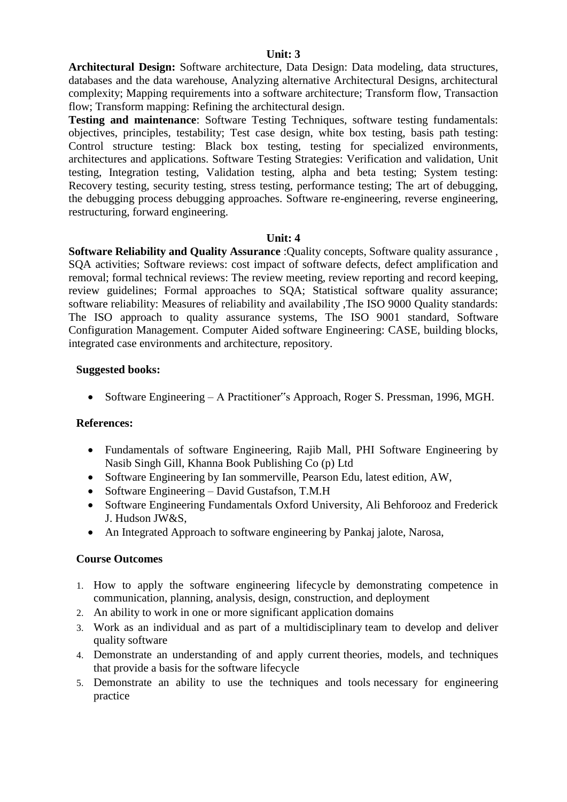#### **Unit: 3**

**Architectural Design:** Software architecture, Data Design: Data modeling, data structures, databases and the data warehouse, Analyzing alternative Architectural Designs, architectural complexity; Mapping requirements into a software architecture; Transform flow, Transaction flow; Transform mapping: Refining the architectural design.

**Testing and maintenance**: Software Testing Techniques, software testing fundamentals: objectives, principles, testability; Test case design, white box testing, basis path testing: Control structure testing: Black box testing, testing for specialized environments, architectures and applications. Software Testing Strategies: Verification and validation, Unit testing, Integration testing, Validation testing, alpha and beta testing; System testing: Recovery testing, security testing, stress testing, performance testing; The art of debugging, the debugging process debugging approaches. Software re-engineering, reverse engineering, restructuring, forward engineering.

#### **Unit: 4**

**Software Reliability and Quality Assurance** :Quality concepts, Software quality assurance , SQA activities; Software reviews: cost impact of software defects, defect amplification and removal; formal technical reviews: The review meeting, review reporting and record keeping, review guidelines; Formal approaches to SQA; Statistical software quality assurance; software reliability: Measures of reliability and availability ,The ISO 9000 Quality standards: The ISO approach to quality assurance systems, The ISO 9001 standard, Software Configuration Management. Computer Aided software Engineering: CASE, building blocks, integrated case environments and architecture, repository.

#### **Suggested books:**

• Software Engineering – A Practitioner"s Approach, Roger S. Pressman, 1996, MGH.

#### **References:**

- Fundamentals of software Engineering, Rajib Mall, PHI Software Engineering by Nasib Singh Gill, Khanna Book Publishing Co (p) Ltd
- Software Engineering by Ian sommerville, Pearson Edu, latest edition, AW,
- Software Engineering David Gustafson, T.M.H
- Software Engineering Fundamentals Oxford University, Ali Behforooz and Frederick J. Hudson JW&S,
- An Integrated Approach to software engineering by Pankaj jalote, Narosa,

#### **Course Outcomes**

- 1. How to apply the software engineering lifecycle by demonstrating competence in communication, planning, analysis, design, construction, and deployment
- 2. An ability to work in one or more significant application domains
- 3. Work as an individual and as part of a multidisciplinary team to develop and deliver quality software
- 4. Demonstrate an understanding of and apply current theories, models, and techniques that provide a basis for the software lifecycle
- 5. Demonstrate an ability to use the techniques and tools necessary for engineering practice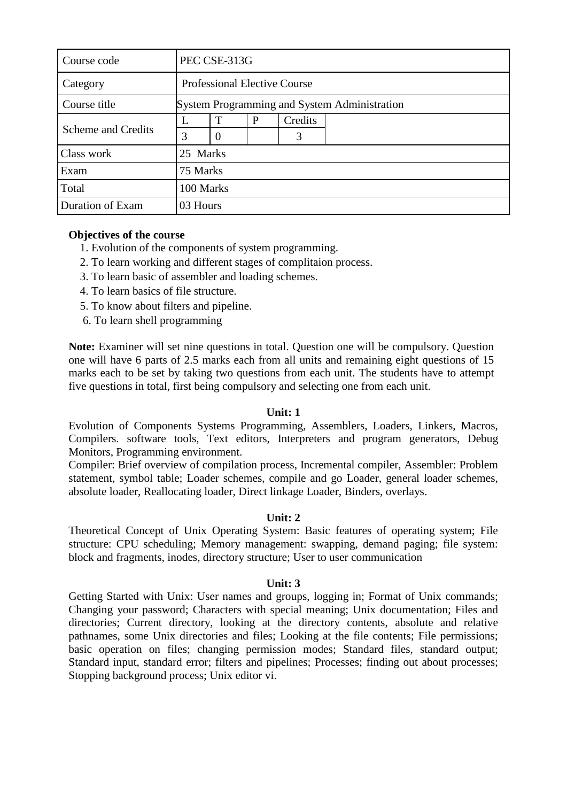| Course code        |          | PEC CSE-313G                                 |   |         |  |  |  |  |  |
|--------------------|----------|----------------------------------------------|---|---------|--|--|--|--|--|
| Category           |          | <b>Professional Elective Course</b>          |   |         |  |  |  |  |  |
| Course title       |          | System Programming and System Administration |   |         |  |  |  |  |  |
|                    |          | T                                            | P | Credits |  |  |  |  |  |
| Scheme and Credits | 3        | $\theta$                                     |   | 3       |  |  |  |  |  |
| Class work         | 25 Marks |                                              |   |         |  |  |  |  |  |
| Exam               | 75 Marks |                                              |   |         |  |  |  |  |  |
| Total              |          | 100 Marks                                    |   |         |  |  |  |  |  |
| Duration of Exam   | 03 Hours |                                              |   |         |  |  |  |  |  |

### **Objectives of the course**

- 1. Evolution of the components of system programming.
- 2. To learn working and different stages of complitaion process.
- 3. To learn basic of assembler and loading schemes.
- 4. To learn basics of file structure.
- 5. To know about filters and pipeline.
- 6. To learn shell programming

**Note:** Examiner will set nine questions in total. Question one will be compulsory. Question one will have 6 parts of 2.5 marks each from all units and remaining eight questions of 15 marks each to be set by taking two questions from each unit. The students have to attempt five questions in total, first being compulsory and selecting one from each unit.

# **Unit: 1**

Evolution of Components Systems Programming, Assemblers, Loaders, Linkers, Macros, Compilers. software tools, Text editors, Interpreters and program generators, Debug Monitors, Programming environment.

Compiler: Brief overview of compilation process, Incremental compiler, Assembler: Problem statement, symbol table; Loader schemes, compile and go Loader, general loader schemes, absolute loader, Reallocating loader, Direct linkage Loader, Binders, overlays.

#### **Unit: 2**

Theoretical Concept of Unix Operating System: Basic features of operating system; File structure: CPU scheduling; Memory management: swapping, demand paging; file system: block and fragments, inodes, directory structure; User to user communication

#### **Unit: 3**

Getting Started with Unix: User names and groups, logging in; Format of Unix commands; Changing your password; Characters with special meaning; Unix documentation; Files and directories; Current directory, looking at the directory contents, absolute and relative pathnames, some Unix directories and files; Looking at the file contents; File permissions; basic operation on files; changing permission modes; Standard files, standard output; Standard input, standard error; filters and pipelines; Processes; finding out about processes; Stopping background process; Unix editor vi.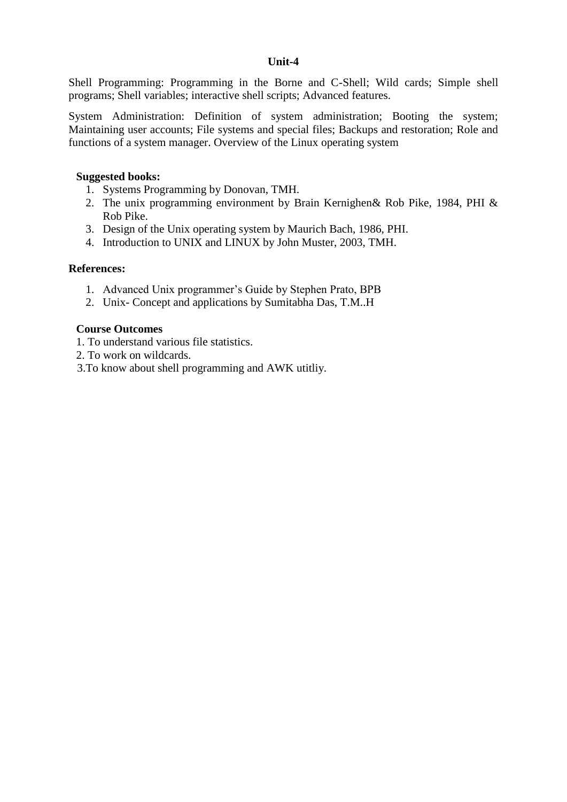#### **Unit-4**

Shell Programming: Programming in the Borne and C-Shell; Wild cards; Simple shell programs; Shell variables; interactive shell scripts; Advanced features.

System Administration: Definition of system administration; Booting the system; Maintaining user accounts; File systems and special files; Backups and restoration; Role and functions of a system manager. Overview of the Linux operating system

#### **Suggested books:**

- 1. Systems Programming by Donovan, TMH.
- 2. The unix programming environment by Brain Kernighen& Rob Pike, 1984, PHI & Rob Pike.
- 3. Design of the Unix operating system by Maurich Bach, 1986, PHI.
- 4. Introduction to UNIX and LINUX by John Muster, 2003, TMH.

#### **References:**

- 1. Advanced Unix programmer's Guide by Stephen Prato, BPB
- 2. Unix- Concept and applications by Sumitabha Das, T.M..H

#### **Course Outcomes**

- 1. To understand various file statistics.
- 2. To work on wildcards.
- 3.To know about shell programming and AWK utitliy.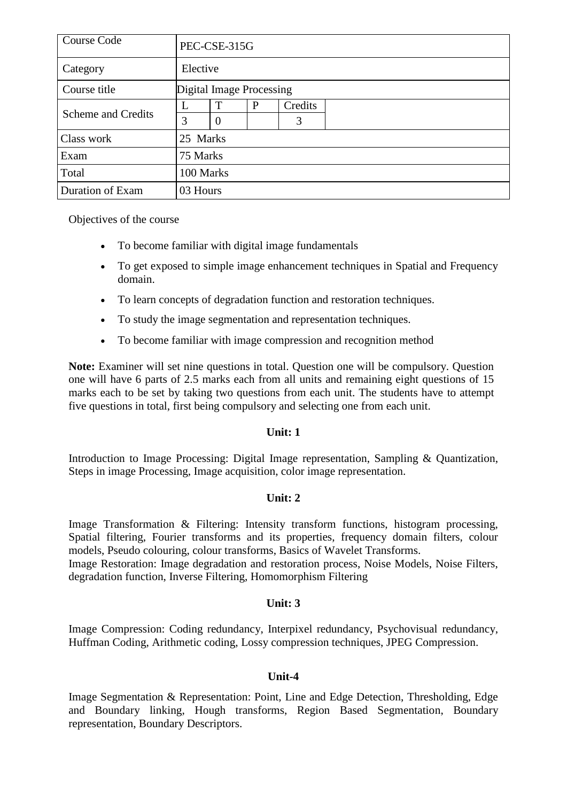| Course Code               |           | PEC-CSE-315G             |   |         |  |  |  |  |  |
|---------------------------|-----------|--------------------------|---|---------|--|--|--|--|--|
| Category                  |           | Elective                 |   |         |  |  |  |  |  |
| Course title              |           | Digital Image Processing |   |         |  |  |  |  |  |
| <b>Scheme and Credits</b> |           | T                        | P | Credits |  |  |  |  |  |
|                           | 3         | $\overline{0}$           |   | 3       |  |  |  |  |  |
| Class work                | 25 Marks  |                          |   |         |  |  |  |  |  |
| Exam                      | 75 Marks  |                          |   |         |  |  |  |  |  |
| Total                     | 100 Marks |                          |   |         |  |  |  |  |  |
| Duration of Exam          | 03 Hours  |                          |   |         |  |  |  |  |  |

Objectives of the course

- To become familiar with digital image fundamentals
- To get exposed to simple image enhancement techniques in Spatial and Frequency domain.
- To learn concepts of degradation function and restoration techniques.
- To study the image segmentation and representation techniques.
- To become familiar with image compression and recognition method

**Note:** Examiner will set nine questions in total. Question one will be compulsory. Question one will have 6 parts of 2.5 marks each from all units and remaining eight questions of 15 marks each to be set by taking two questions from each unit. The students have to attempt five questions in total, first being compulsory and selecting one from each unit.

# **Unit: 1**

Introduction to Image Processing: Digital Image representation, Sampling & Quantization, Steps in image Processing, Image acquisition, color image representation.

# **Unit: 2**

Image Transformation & Filtering: Intensity transform functions, histogram processing, Spatial filtering, Fourier transforms and its properties, frequency domain filters, colour models, Pseudo colouring, colour transforms, Basics of Wavelet Transforms.

Image Restoration: Image degradation and restoration process, Noise Models, Noise Filters, degradation function, Inverse Filtering, Homomorphism Filtering

# **Unit: 3**

Image Compression: Coding redundancy, Interpixel redundancy, Psychovisual redundancy, Huffman Coding, Arithmetic coding, Lossy compression techniques, JPEG Compression.

#### **Unit-4**

Image Segmentation & Representation: Point, Line and Edge Detection, Thresholding, Edge and Boundary linking, Hough transforms, Region Based Segmentation, Boundary representation, Boundary Descriptors.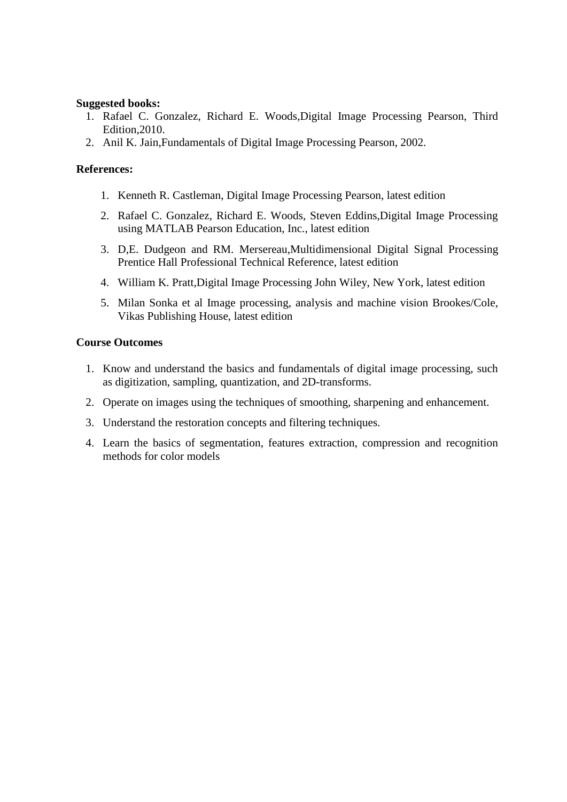#### **Suggested books:**

- 1. Rafael C. Gonzalez, Richard E. Woods,Digital Image Processing Pearson, Third Edition,2010.
- 2. Anil K. Jain,Fundamentals of Digital Image Processing Pearson, 2002.

#### **References:**

- 1. Kenneth R. Castleman, Digital Image Processing Pearson, latest edition
- 2. Rafael C. Gonzalez, Richard E. Woods, Steven Eddins,Digital Image Processing using MATLAB Pearson Education, Inc., latest edition
- 3. D,E. Dudgeon and RM. Mersereau,Multidimensional Digital Signal Processing Prentice Hall Professional Technical Reference, latest edition
- 4. William K. Pratt,Digital Image Processing John Wiley, New York, latest edition
- 5. Milan Sonka et al Image processing, analysis and machine vision Brookes/Cole, Vikas Publishing House, latest edition

#### **Course Outcomes**

- 1. Know and understand the basics and fundamentals of digital image processing, such as digitization, sampling, quantization, and 2D-transforms.
- 2. Operate on images using the techniques of smoothing, sharpening and enhancement.
- 3. Understand the restoration concepts and filtering techniques.
- 4. Learn the basics of segmentation, features extraction, compression and recognition methods for color models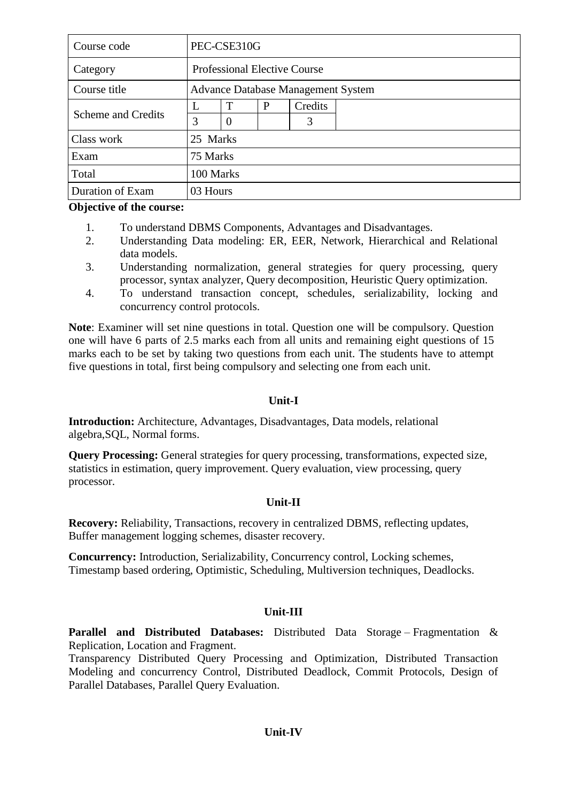| Course code        | PEC-CSE310G                               |          |   |         |  |  |
|--------------------|-------------------------------------------|----------|---|---------|--|--|
| Category           | <b>Professional Elective Course</b>       |          |   |         |  |  |
| Course title       | <b>Advance Database Management System</b> |          |   |         |  |  |
| Scheme and Credits | L                                         | T        | P | Credits |  |  |
|                    | 3                                         | $\theta$ |   | 3       |  |  |
| Class work         | 25 Marks                                  |          |   |         |  |  |
| Exam               | 75 Marks                                  |          |   |         |  |  |
| Total              | 100 Marks                                 |          |   |         |  |  |
| Duration of Exam   | 03 Hours                                  |          |   |         |  |  |

**Objective of the course:**

- 1. To understand DBMS Components, Advantages and Disadvantages.
- 2. Understanding Data modeling: ER, EER, Network, Hierarchical and Relational data models.
- 3. Understanding normalization, general strategies for query processing, query processor, syntax analyzer, Query decomposition, Heuristic Query optimization.
- 4. To understand transaction concept, schedules, serializability, locking and concurrency control protocols.

**Note**: Examiner will set nine questions in total. Question one will be compulsory. Question one will have 6 parts of 2.5 marks each from all units and remaining eight questions of 15 marks each to be set by taking two questions from each unit. The students have to attempt five questions in total, first being compulsory and selecting one from each unit.

#### **Unit-I**

**Introduction:** Architecture, Advantages, Disadvantages, Data models, relational algebra,SQL, Normal forms.

**Query Processing:** General strategies for query processing, transformations, expected size, statistics in estimation, query improvement. Query evaluation, view processing, query processor.

# **Unit-II**

**Recovery:** Reliability, Transactions, recovery in centralized DBMS, reflecting updates, Buffer management logging schemes, disaster recovery.

**Concurrency:** Introduction, Serializability, Concurrency control, Locking schemes, Timestamp based ordering, Optimistic, Scheduling, Multiversion techniques, Deadlocks.

# **Unit-III**

**Parallel and Distributed Databases:** Distributed Data Storage – Fragmentation & Replication, Location and Fragment.

Transparency Distributed Query Processing and Optimization, Distributed Transaction Modeling and concurrency Control, Distributed Deadlock, Commit Protocols, Design of Parallel Databases, Parallel Query Evaluation.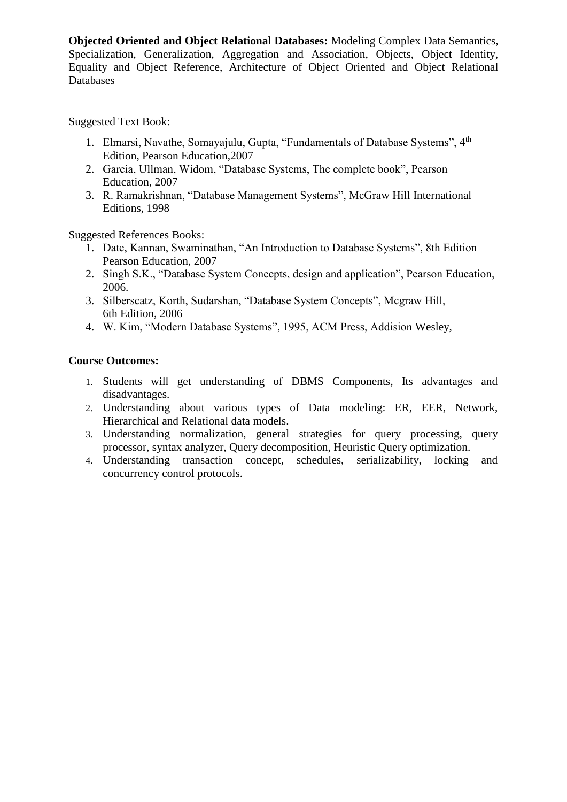**Objected Oriented and Object Relational Databases:** Modeling Complex Data Semantics, Specialization, Generalization, Aggregation and Association, Objects, Object Identity, Equality and Object Reference, Architecture of Object Oriented and Object Relational Databases

Suggested Text Book:

- 1. Elmarsi, Navathe, Somayajulu, Gupta, "Fundamentals of Database Systems", 4<sup>th</sup> Edition, Pearson Education,2007
- 2. Garcia, Ullman, Widom, "Database Systems, The complete book", Pearson Education, 2007
- 3. R. Ramakrishnan, "Database Management Systems", McGraw Hill International Editions, 1998

Suggested References Books:

- 1. Date, Kannan, Swaminathan, "An Introduction to Database Systems", 8th Edition Pearson Education, 2007
- 2. Singh S.K., "Database System Concepts, design and application", Pearson Education, 2006.
- 3. Silberscatz, Korth, Sudarshan, "Database System Concepts", Mcgraw Hill, 6th Edition, 2006
- 4. W. Kim, "Modern Database Systems", 1995, ACM Press, Addision Wesley,

# **Course Outcomes:**

- 1. Students will get understanding of DBMS Components, Its advantages and disadvantages.
- 2. Understanding about various types of Data modeling: ER, EER, Network, Hierarchical and Relational data models.
- 3. Understanding normalization, general strategies for query processing, query processor, syntax analyzer, Query decomposition, Heuristic Query optimization.
- 4. Understanding transaction concept, schedules, serializability, locking and concurrency control protocols.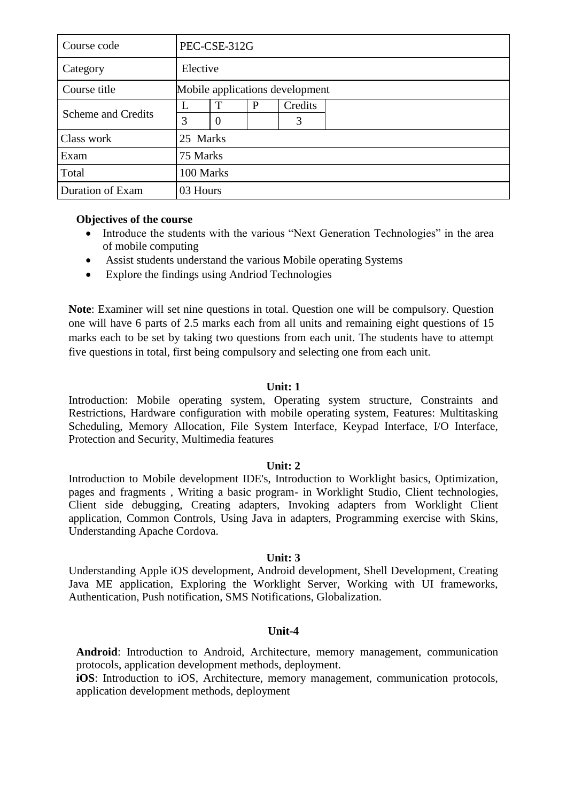| Course code               |   | PEC-CSE-312G                    |   |         |  |  |
|---------------------------|---|---------------------------------|---|---------|--|--|
| Category                  |   | Elective                        |   |         |  |  |
| Course title              |   | Mobile applications development |   |         |  |  |
| <b>Scheme and Credits</b> | L | T                               | P | Credits |  |  |
|                           | 3 | $\overline{0}$                  |   | 3       |  |  |
| Class work                |   | 25 Marks                        |   |         |  |  |
| Exam                      |   | 75 Marks                        |   |         |  |  |
| Total                     |   | 100 Marks                       |   |         |  |  |
| Duration of Exam          |   | 03 Hours                        |   |         |  |  |

### **Objectives of the course**

- Introduce the students with the various "Next Generation Technologies" in the area of mobile computing
- Assist students understand the various Mobile operating Systems
- Explore the findings using Andriod Technologies

**Note**: Examiner will set nine questions in total. Question one will be compulsory. Question one will have 6 parts of 2.5 marks each from all units and remaining eight questions of 15 marks each to be set by taking two questions from each unit. The students have to attempt five questions in total, first being compulsory and selecting one from each unit.

# **Unit: 1**

Introduction: Mobile operating system, Operating system structure, Constraints and Restrictions, Hardware configuration with mobile operating system, Features: Multitasking Scheduling, Memory Allocation, File System Interface, Keypad Interface, I/O Interface, Protection and Security, Multimedia features

# **Unit: 2**

Introduction to Mobile development IDE's, Introduction to Worklight basics, Optimization, pages and fragments , Writing a basic program- in Worklight Studio, Client technologies, Client side debugging, Creating adapters, Invoking adapters from Worklight Client application, Common Controls, Using Java in adapters, Programming exercise with Skins, Understanding Apache Cordova.

#### **Unit: 3**

Understanding Apple iOS development, Android development, Shell Development, Creating Java ME application, Exploring the Worklight Server, Working with UI frameworks, Authentication, Push notification, SMS Notifications, Globalization.

# **Unit-4**

**Android**: Introduction to Android, Architecture, memory management, communication protocols, application development methods, deployment.

**iOS**: Introduction to iOS, Architecture, memory management, communication protocols, application development methods, deployment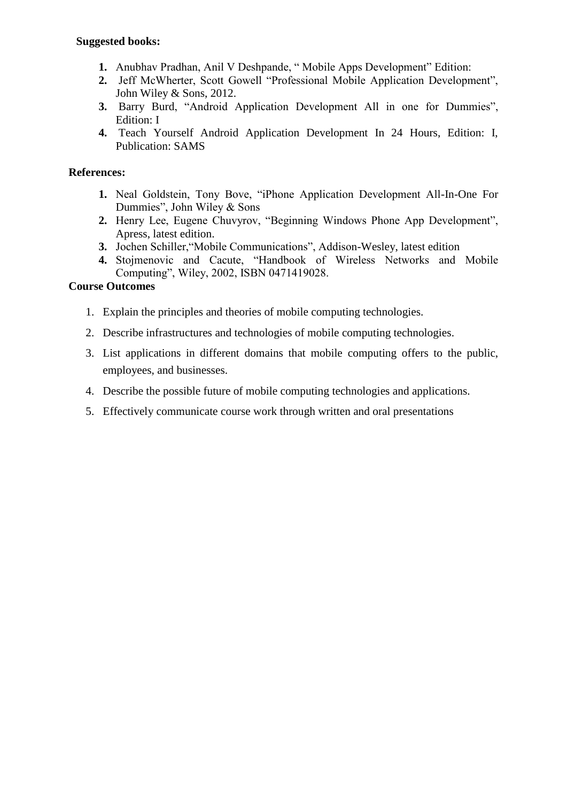### **Suggested books:**

- **1.** Anubhav Pradhan, Anil V Deshpande, " Mobile Apps Development" Edition:
- **2.** Jeff McWherter, Scott Gowell "Professional Mobile Application Development", John Wiley & Sons, 2012.
- **3.** Barry Burd, "Android Application Development All in one for Dummies", Edition: I
- **4.** Teach Yourself Android Application Development In 24 Hours, Edition: I, Publication: SAMS

# **References:**

- **1.** Neal Goldstein, Tony Bove, "iPhone Application Development All-In-One For Dummies", John Wiley & Sons
- **2.** Henry Lee, Eugene Chuvyrov, "Beginning Windows Phone App Development", Apress, latest edition.
- **3.** Jochen Schiller,"Mobile Communications", Addison-Wesley, latest edition
- **4.** Stojmenovic and Cacute, "Handbook of Wireless Networks and Mobile Computing", Wiley, 2002, ISBN 0471419028.

# **Course Outcomes**

- 1. Explain the principles and theories of mobile computing technologies.
- 2. Describe infrastructures and technologies of mobile computing technologies.
- 3. List applications in different domains that mobile computing offers to the public, employees, and businesses.
- 4. Describe the possible future of mobile computing technologies and applications.
- 5. Effectively communicate course work through written and oral presentations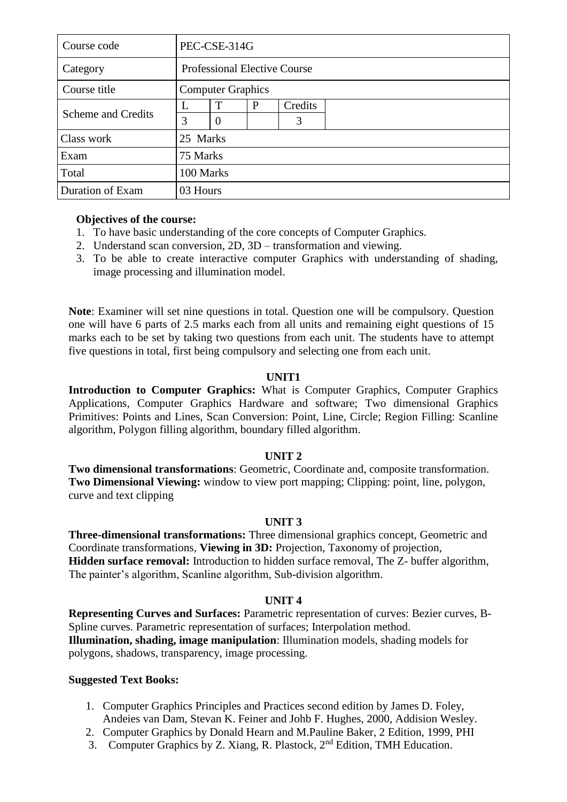| Course code               |          | PEC-CSE-314G                        |   |         |  |  |  |
|---------------------------|----------|-------------------------------------|---|---------|--|--|--|
| Category                  |          | <b>Professional Elective Course</b> |   |         |  |  |  |
| Course title              |          | <b>Computer Graphics</b>            |   |         |  |  |  |
| <b>Scheme and Credits</b> |          | T                                   | P | Credits |  |  |  |
|                           | 3        | $\overline{0}$                      |   | 3       |  |  |  |
| Class work                |          | 25 Marks                            |   |         |  |  |  |
| Exam                      |          | 75 Marks                            |   |         |  |  |  |
| Total                     |          | 100 Marks                           |   |         |  |  |  |
| Duration of Exam          | 03 Hours |                                     |   |         |  |  |  |

# **Objectives of the course:**

- 1. To have basic understanding of the core concepts of Computer Graphics.
- 2. Understand scan conversion, 2D, 3D transformation and viewing.
- 3. To be able to create interactive computer Graphics with understanding of shading, image processing and illumination model.

**Note**: Examiner will set nine questions in total. Question one will be compulsory. Question one will have 6 parts of 2.5 marks each from all units and remaining eight questions of 15 marks each to be set by taking two questions from each unit. The students have to attempt five questions in total, first being compulsory and selecting one from each unit.

### **UNIT1**

**Introduction to Computer Graphics:** What is Computer Graphics, Computer Graphics Applications, Computer Graphics Hardware and software; Two dimensional Graphics Primitives: Points and Lines, Scan Conversion: Point, Line, Circle; Region Filling: Scanline algorithm, Polygon filling algorithm, boundary filled algorithm.

#### **UNIT 2**

**Two dimensional transformations**: Geometric, Coordinate and, composite transformation. **Two Dimensional Viewing:** window to view port mapping; Clipping: point, line, polygon, curve and text clipping

#### **UNIT 3**

**Three-dimensional transformations:** Three dimensional graphics concept, Geometric and Coordinate transformations, **Viewing in 3D:** Projection, Taxonomy of projection, **Hidden surface removal:** Introduction to hidden surface removal, The Z- buffer algorithm, The painter's algorithm, Scanline algorithm, Sub-division algorithm.

#### **UNIT 4**

**Representing Curves and Surfaces:** Parametric representation of curves: Bezier curves, B-Spline curves. Parametric representation of surfaces; Interpolation method. **Illumination, shading, image manipulation**: Illumination models, shading models for polygons, shadows, transparency, image processing.

#### **Suggested Text Books:**

- 1. Computer Graphics Principles and Practices second edition by James D. Foley, Andeies van Dam, Stevan K. Feiner and Johb F. Hughes, 2000, Addision Wesley.
- 2. Computer Graphics by Donald Hearn and M.Pauline Baker, 2 Edition, 1999, PHI
- 3. Computer Graphics by Z. Xiang, R. Plastock, 2nd Edition, TMH Education.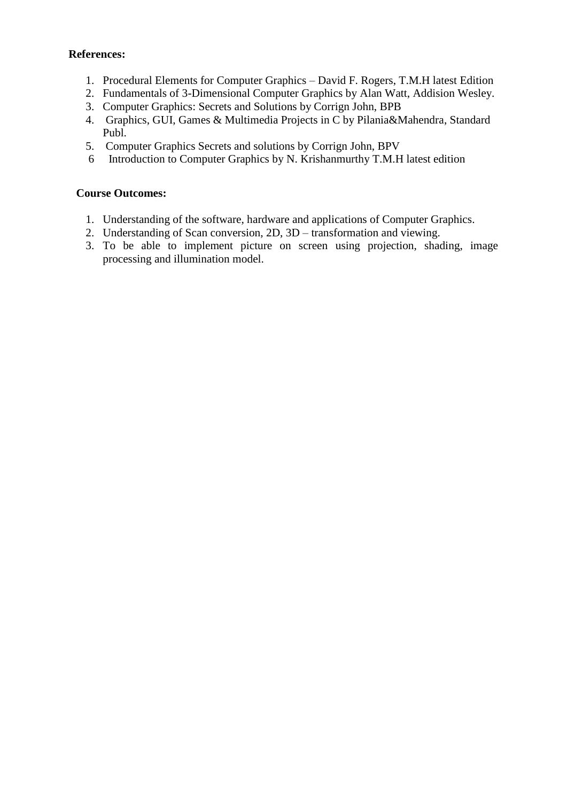# **References:**

- 1. Procedural Elements for Computer Graphics David F. Rogers, T.M.H latest Edition
- 2. Fundamentals of 3-Dimensional Computer Graphics by Alan Watt, Addision Wesley.
- 3. Computer Graphics: Secrets and Solutions by Corrign John, BPB
- 4. Graphics, GUI, Games & Multimedia Projects in C by Pilania&Mahendra, Standard Publ.
- 5. Computer Graphics Secrets and solutions by Corrign John, BPV
- 6 Introduction to Computer Graphics by N. Krishanmurthy T.M.H latest edition

# **Course Outcomes:**

- 1. Understanding of the software, hardware and applications of Computer Graphics.
- 2. Understanding of Scan conversion, 2D, 3D transformation and viewing.
- 3. To be able to implement picture on screen using projection, shading, image processing and illumination model.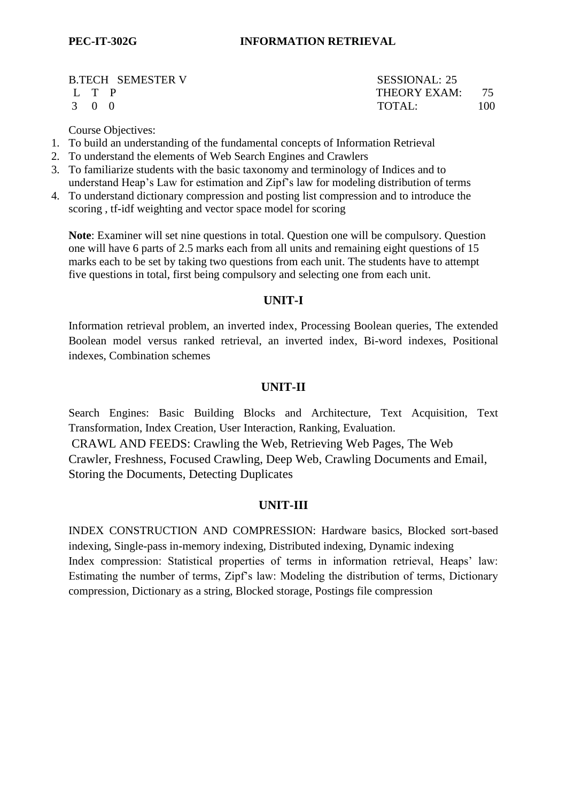B.TECH SEMESTER V SESSIONAL: 25

L T P THEORY EXAM: 75 3 0 0 TOTAL: 100

Course Objectives:

- 1. To build an understanding of the fundamental concepts of Information Retrieval
- 2. To understand the elements of Web Search Engines and Crawlers
- 3. To familiarize students with the basic taxonomy and terminology of Indices and to understand Heap's Law for estimation and Zipf's law for modeling distribution of terms
- 4. To understand dictionary compression and posting list compression and to introduce the scoring , tf-idf weighting and vector space model for scoring

**Note**: Examiner will set nine questions in total. Question one will be compulsory. Question one will have 6 parts of 2.5 marks each from all units and remaining eight questions of 15 marks each to be set by taking two questions from each unit. The students have to attempt five questions in total, first being compulsory and selecting one from each unit.

# **UNIT-I**

Information retrieval problem, an inverted index, Processing Boolean queries, The extended Boolean model versus ranked retrieval, an inverted index, Bi-word indexes, Positional indexes, Combination schemes

# **UNIT-II**

Search Engines: Basic Building Blocks and Architecture, Text Acquisition, Text Transformation, Index Creation, User Interaction, Ranking, Evaluation. CRAWL AND FEEDS: Crawling the Web, Retrieving Web Pages, The Web Crawler, Freshness, Focused Crawling, Deep Web, Crawling Documents and Email, Storing the Documents, Detecting Duplicates

# **UNIT-III**

INDEX CONSTRUCTION AND COMPRESSION: Hardware basics, Blocked sort-based indexing, Single-pass in-memory indexing, Distributed indexing, Dynamic indexing Index compression: Statistical properties of terms in information retrieval, Heaps' law: Estimating the number of terms, Zipf's law: Modeling the distribution of terms, Dictionary compression, Dictionary as a string, Blocked storage, Postings file compression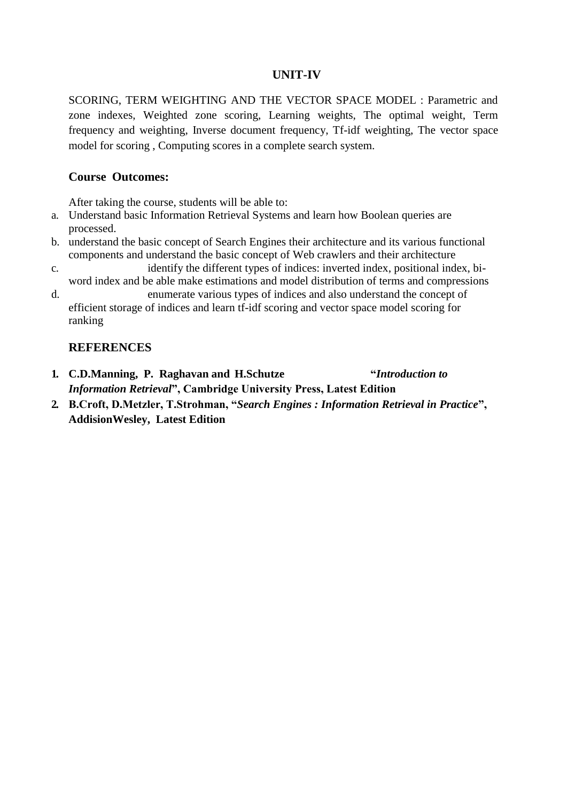# **UNIT-IV**

SCORING, TERM WEIGHTING AND THE VECTOR SPACE MODEL : Parametric and zone indexes, Weighted zone scoring, Learning weights, The optimal weight, Term frequency and weighting, Inverse document frequency, Tf-idf weighting, The vector space model for scoring , Computing scores in a complete search system.

### **Course Outcomes:**

After taking the course, students will be able to:

- a. Understand basic Information Retrieval Systems and learn how Boolean queries are processed.
- b. understand the basic concept of Search Engines their architecture and its various functional components and understand the basic concept of Web crawlers and their architecture
- c. identify the different types of indices: inverted index, positional index, biword index and be able make estimations and model distribution of terms and compressions
- d. enumerate various types of indices and also understand the concept of efficient storage of indices and learn tf-idf scoring and vector space model scoring for ranking

### **REFERENCES**

- **1. C.D.Manning, P. Raghavan and H.Schutze "***Introduction to Information Retrieval***", Cambridge University Press, Latest Edition**
- **2. B.Croft, D.Metzler, T.Strohman, "***Search Engines : Information Retrieval in Practice***", AddisionWesley, Latest Edition**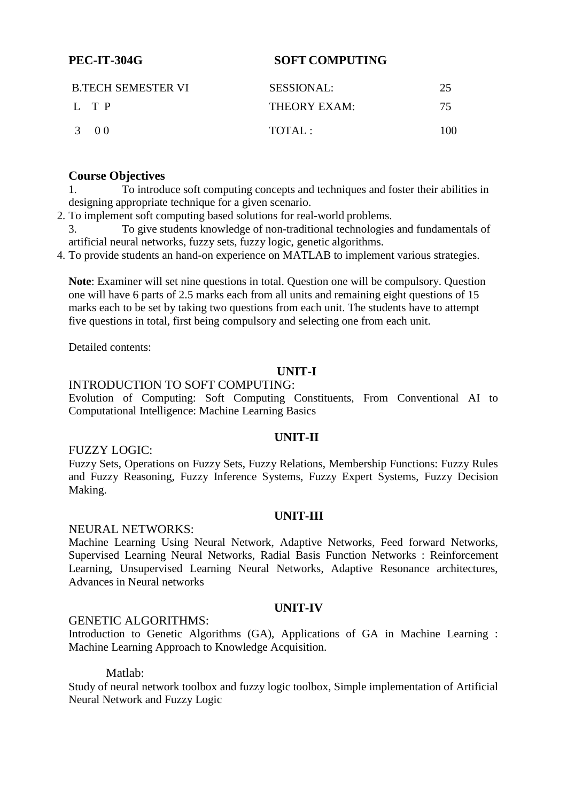# **PEC-IT-304G SOFT COMPUTING**

| <b>B.TECH SEMESTER VI</b> | <b>SESSIONAL:</b> |     |  |
|---------------------------|-------------------|-----|--|
| $L$ T P                   | THEORY EXAM:      | 75. |  |
| 3 00                      | TOTAI:            | 100 |  |

### **Course Objectives**

1. To introduce soft computing concepts and techniques and foster their abilities in designing appropriate technique for a given scenario.

- 2. To implement soft computing based solutions for real-world problems.
- 3. To give students knowledge of non-traditional technologies and fundamentals of artificial neural networks, fuzzy sets, fuzzy logic, genetic algorithms.
- 4. To provide students an hand-on experience on MATLAB to implement various strategies.

**Note**: Examiner will set nine questions in total. Question one will be compulsory. Question one will have 6 parts of 2.5 marks each from all units and remaining eight questions of 15 marks each to be set by taking two questions from each unit. The students have to attempt five questions in total, first being compulsory and selecting one from each unit.

Detailed contents:

# **UNIT-I**

### INTRODUCTION TO SOFT COMPUTING:

Evolution of Computing: Soft Computing Constituents, From Conventional AI to Computational Intelligence: Machine Learning Basics

#### **UNIT-II**

#### FUZZY LOGIC:

Fuzzy Sets, Operations on Fuzzy Sets, Fuzzy Relations, Membership Functions: Fuzzy Rules and Fuzzy Reasoning, Fuzzy Inference Systems, Fuzzy Expert Systems, Fuzzy Decision Making.

#### **UNIT-III**

#### NEURAL NETWORKS:

Machine Learning Using Neural Network, Adaptive Networks, Feed forward Networks, Supervised Learning Neural Networks, Radial Basis Function Networks : Reinforcement Learning, Unsupervised Learning Neural Networks, Adaptive Resonance architectures, Advances in Neural networks

#### **UNIT-IV**

#### GENETIC ALGORITHMS:

Introduction to Genetic Algorithms (GA), Applications of GA in Machine Learning : Machine Learning Approach to Knowledge Acquisition.

Matlab:

Study of neural network toolbox and fuzzy logic toolbox, Simple implementation of Artificial Neural Network and Fuzzy Logic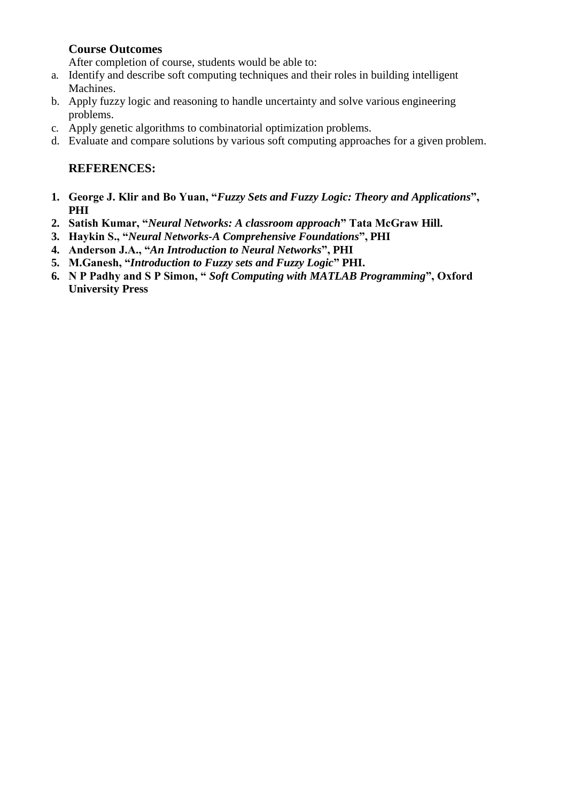# **Course Outcomes**

After completion of course, students would be able to:

- a. Identify and describe soft computing techniques and their roles in building intelligent Machines.
- b. Apply fuzzy logic and reasoning to handle uncertainty and solve various engineering problems.
- c. Apply genetic algorithms to combinatorial optimization problems.
- d. Evaluate and compare solutions by various soft computing approaches for a given problem.

# **REFERENCES:**

- **1. George J. Klir and Bo Yuan, "***Fuzzy Sets and Fuzzy Logic: Theory and Applications***", PHI**
- **2. Satish Kumar, "***Neural Networks: A classroom approach***" Tata McGraw Hill.**
- **3. Haykin S., "***Neural Networks-A Comprehensive Foundations***", PHI**
- **4. Anderson J.A., "***An Introduction to Neural Networks***", PHI**
- **5. M.Ganesh, "***Introduction to Fuzzy sets and Fuzzy Logic***" PHI.**
- **6. N P Padhy and S P Simon, "** *Soft Computing with MATLAB Programming***", Oxford University Press**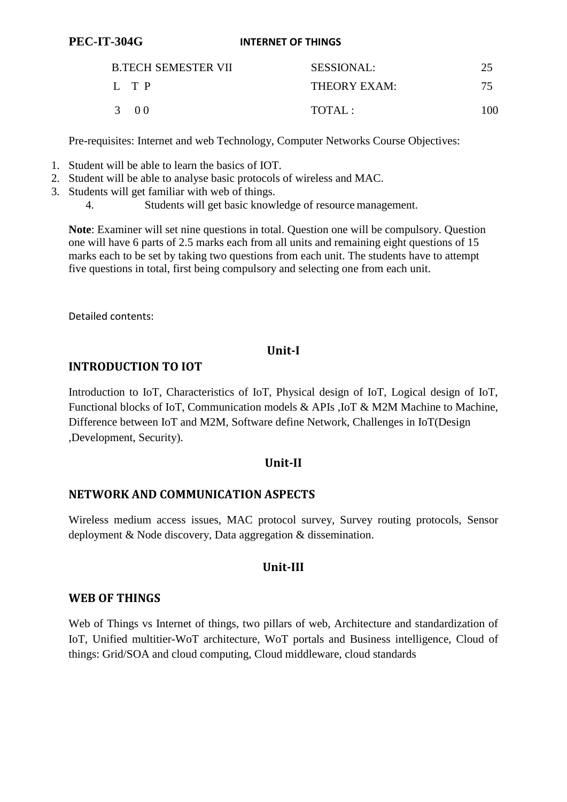#### **PEC-IT-304G INTERNET OF THINGS**

| <b>B.TECH SEMESTER VII</b> |  | <b>SESSIONAL:</b> |     |
|----------------------------|--|-------------------|-----|
| L TP                       |  | THEORY EXAM:      | 75. |
| 3 00                       |  | TOTAL:            | 100 |

Pre-requisites: Internet and web Technology, Computer Networks Course Objectives:

- 1. Student will be able to learn the basics of IOT.
- 2. Student will be able to analyse basic protocols of wireless and MAC.
- 3. Students will get familiar with web of things.
	- 4. Students will get basic knowledge of resource management.

**Note**: Examiner will set nine questions in total. Question one will be compulsory. Question one will have 6 parts of 2.5 marks each from all units and remaining eight questions of 15 marks each to be set by taking two questions from each unit. The students have to attempt five questions in total, first being compulsory and selecting one from each unit.

Detailed contents:

# **Unit-I**

# **INTRODUCTION TO IOT**

Introduction to IoT, Characteristics of IoT, Physical design of IoT, Logical design of IoT, Functional blocks of IoT, Communication models & APIs ,IoT & M2M Machine to Machine, Difference between IoT and M2M, Software define Network, Challenges in IoT(Design ,Development, Security).

# **Unit-II**

# **NETWORK AND COMMUNICATION ASPECTS**

Wireless medium access issues, MAC protocol survey, Survey routing protocols, Sensor deployment & Node discovery, Data aggregation & dissemination.

# **Unit-III**

# **WEB OF THINGS**

Web of Things vs Internet of things, two pillars of web, Architecture and standardization of IoT, Unified multitier-WoT architecture, WoT portals and Business intelligence, Cloud of things: Grid/SOA and cloud computing, Cloud middleware, cloud standards